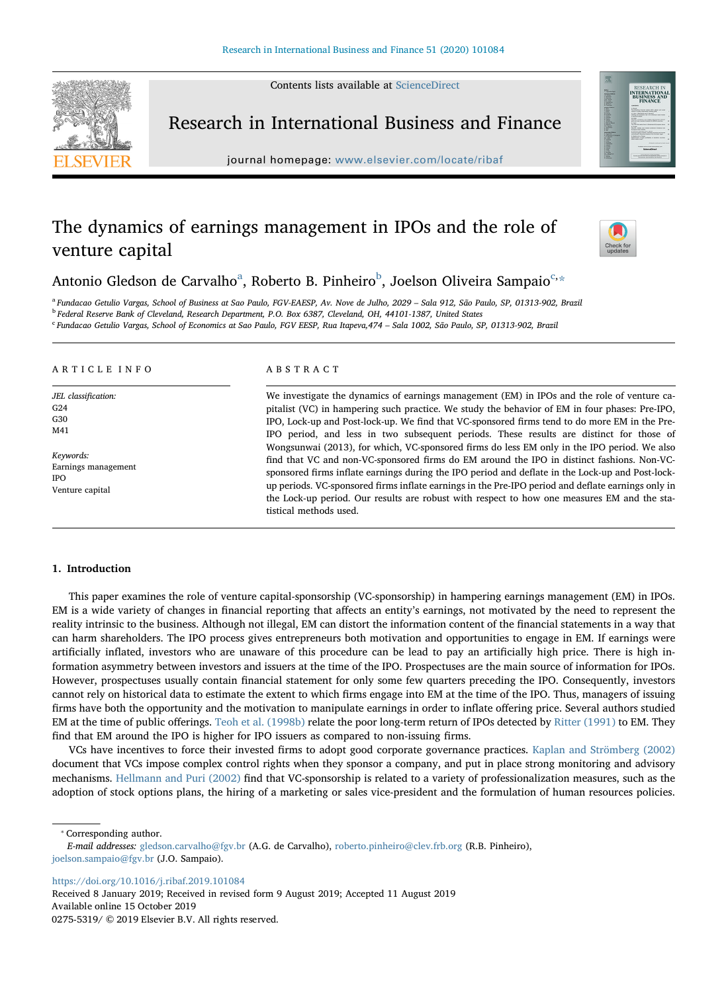Contents lists available at [ScienceDirect](http://www.sciencedirect.com/science/journal/02755319)



Research in International Business and Finance

journal homepage: [www.elsevier.com/locate/ribaf](https://www.elsevier.com/locate/ribaf)

# The dynamics of earnings management in IPOs and the role of venture capital



Antonio Gledson de C[a](#page-0-0)rvalho<sup>a</sup>, Ro[b](#page-0-1)erto B. Pinheiro<sup>b</sup>, Joelson Oliveira Sampaio<sup>[c,](#page-0-2)[\\*](#page-0-3)</sup>

<span id="page-0-0"></span><sup>a</sup> Fundacao Getulio Vargas, School of Business at Sao Paulo, FGV-EAESP, Av. Nove de Julho, 2029 – Sala 912, São Paulo, SP, 01313-902, Brazil

<span id="page-0-1"></span><sup>b</sup> Federal Reserve Bank of Cleveland, Research Department, P.O. Box 6387, Cleveland, OH, 44101-1387, United States

<span id="page-0-2"></span><sup>c</sup> Fundacao Getulio Vargas, School of Economics at Sao Paulo, FGV EESP, Rua Itapeva,474 – Sala 1002, São Paulo, SP, 01313-902, Brazil

## ARTICLE INFO

JEL classification: G24 G30 M41

Keywords: Earnings management IPO Venture capital

## ABSTRACT

We investigate the dynamics of earnings management (EM) in IPOs and the role of venture capitalist (VC) in hampering such practice. We study the behavior of EM in four phases: Pre-IPO, IPO, Lock-up and Post-lock-up. We find that VC-sponsored firms tend to do more EM in the Pre-IPO period, and less in two subsequent periods. These results are distinct for those of Wongsunwai (2013), for which, VC-sponsored firms do less EM only in the IPO period. We also find that VC and non-VC-sponsored firms do EM around the IPO in distinct fashions. Non-VCsponsored firms inflate earnings during the IPO period and deflate in the Lock-up and Post-lockup periods. VC-sponsored firms inflate earnings in the Pre-IPO period and deflate earnings only in the Lock-up period. Our results are robust with respect to how one measures EM and the statistical methods used.

#### 1. Introduction

This paper examines the role of venture capital-sponsorship (VC-sponsorship) in hampering earnings management (EM) in IPOs. EM is a wide variety of changes in financial reporting that affects an entity's earnings, not motivated by the need to represent the reality intrinsic to the business. Although not illegal, EM can distort the information content of the financial statements in a way that can harm shareholders. The IPO process gives entrepreneurs both motivation and opportunities to engage in EM. If earnings were artificially inflated, investors who are unaware of this procedure can be lead to pay an artificially high price. There is high information asymmetry between investors and issuers at the time of the IPO. Prospectuses are the main source of information for IPOs. However, prospectuses usually contain financial statement for only some few quarters preceding the IPO. Consequently, investors cannot rely on historical data to estimate the extent to which firms engage into EM at the time of the IPO. Thus, managers of issuing firms have both the opportunity and the motivation to manipulate earnings in order to inflate offering price. Several authors studied EM at the time of public offerings. [Teoh et al. \(1998b\)](#page-13-0) relate the poor long-term return of IPOs detected by [Ritter \(1991\)](#page-13-1) to EM. They find that EM around the IPO is higher for IPO issuers as compared to non-issuing firms.

VCs have incentives to force their invested firms to adopt good corporate governance practices. [Kaplan and Strömberg \(2002\)](#page-13-2) document that VCs impose complex control rights when they sponsor a company, and put in place strong monitoring and advisory mechanisms. [Hellmann and Puri \(2002\)](#page-13-3) find that VC-sponsorship is related to a variety of professionalization measures, such as the adoption of stock options plans, the hiring of a marketing or sales vice-president and the formulation of human resources policies.

<span id="page-0-3"></span>⁎ Corresponding author.

<https://doi.org/10.1016/j.ribaf.2019.101084>

Received 8 January 2019; Received in revised form 9 August 2019; Accepted 11 August 2019 Available online 15 October 2019 0275-5319/ © 2019 Elsevier B.V. All rights reserved.

E-mail addresses: [gledson.carvalho@fgv.br](mailto:gledson.carvalho@fgv.br) (A.G. de Carvalho), [roberto.pinheiro@clev.frb.org](mailto:roberto.pinheiro@clev.frb.org) (R.B. Pinheiro), [joelson.sampaio@fgv.br](mailto:joelson.sampaio@fgv.br) (J.O. Sampaio).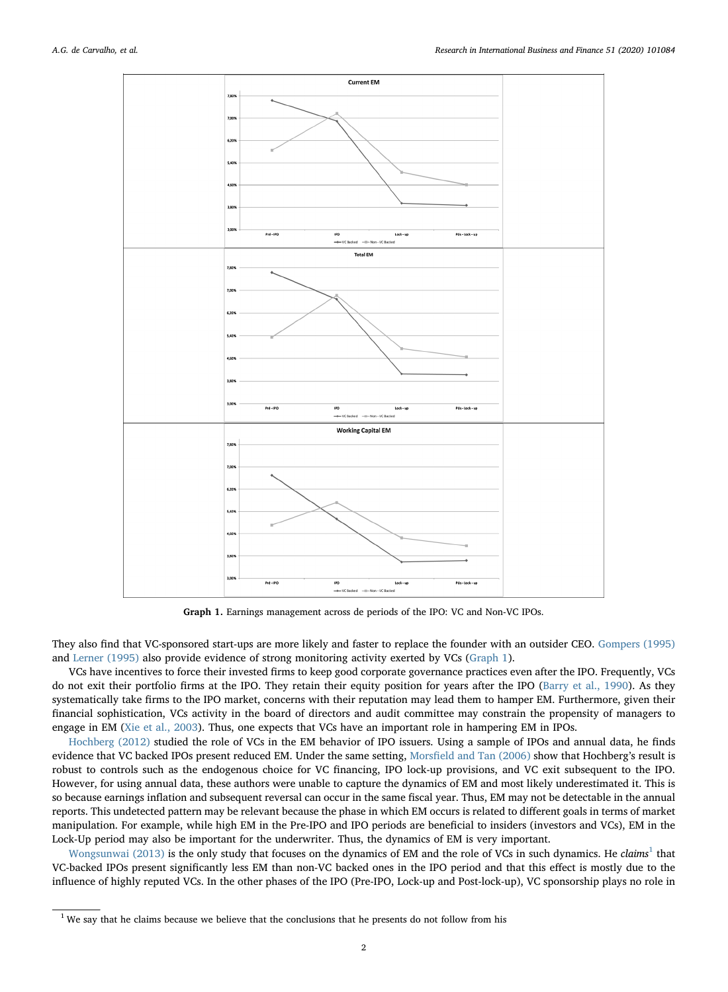<span id="page-1-0"></span>

Graph 1. Earnings management across de periods of the IPO: VC and Non-VC IPOs.

They also find that VC-sponsored start-ups are more likely and faster to replace the founder with an outsider CEO. [Gompers \(1995\)](#page-13-4) and [Lerner \(1995\)](#page-13-5) also provide evidence of strong monitoring activity exerted by VCs [\(Graph 1](#page-1-0)).

VCs have incentives to force their invested firms to keep good corporate governance practices even after the IPO. Frequently, VCs do not exit their portfolio firms at the IPO. They retain their equity position for years after the IPO [\(Barry et al., 1990\)](#page-13-6). As they systematically take firms to the IPO market, concerns with their reputation may lead them to hamper EM. Furthermore, given their financial sophistication, VCs activity in the board of directors and audit committee may constrain the propensity of managers to engage in EM [\(Xie et al., 2003](#page-13-7)). Thus, one expects that VCs have an important role in hampering EM in IPOs.

[Hochberg \(2012\)](#page-13-8) studied the role of VCs in the EM behavior of IPO issuers. Using a sample of IPOs and annual data, he finds evidence that VC backed IPOs present reduced EM. Under the same setting, Morsfi[eld and Tan \(2006\)](#page-13-9) show that Hochberg's result is robust to controls such as the endogenous choice for VC financing, IPO lock-up provisions, and VC exit subsequent to the IPO. However, for using annual data, these authors were unable to capture the dynamics of EM and most likely underestimated it. This is so because earnings inflation and subsequent reversal can occur in the same fiscal year. Thus, EM may not be detectable in the annual reports. This undetected pattern may be relevant because the phase in which EM occurs is related to different goals in terms of market manipulation. For example, while high EM in the Pre-IPO and IPO periods are beneficial to insiders (investors and VCs), EM in the Lock-Up period may also be important for the underwriter. Thus, the dynamics of EM is very important.

[Wongsunwai \(2013\)](#page-13-10) is the only study that focuses on the dynamics of EM and the role of VCs in such dynamics. He claims<sup>[1](#page-1-1)</sup> that VC-backed IPOs present significantly less EM than non-VC backed ones in the IPO period and that this effect is mostly due to the influence of highly reputed VCs. In the other phases of the IPO (Pre-IPO, Lock-up and Post-lock-up), VC sponsorship plays no role in

<span id="page-1-1"></span><sup>&</sup>lt;sup>1</sup> We say that he claims because we believe that the conclusions that he presents do not follow from his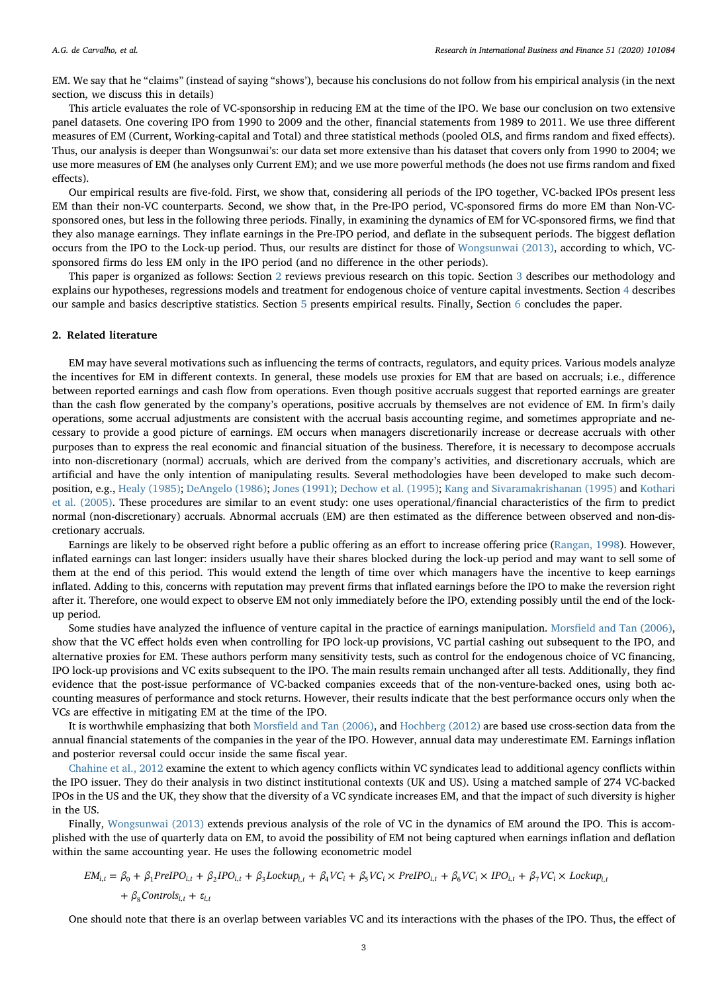EM. We say that he "claims" (instead of saying "shows'), because his conclusions do not follow from his empirical analysis (in the next section, we discuss this in details)

This article evaluates the role of VC-sponsorship in reducing EM at the time of the IPO. We base our conclusion on two extensive panel datasets. One covering IPO from 1990 to 2009 and the other, financial statements from 1989 to 2011. We use three different measures of EM (Current, Working-capital and Total) and three statistical methods (pooled OLS, and firms random and fixed effects). Thus, our analysis is deeper than Wongsunwai's: our data set more extensive than his dataset that covers only from 1990 to 2004; we use more measures of EM (he analyses only Current EM); and we use more powerful methods (he does not use firms random and fixed effects).

Our empirical results are five-fold. First, we show that, considering all periods of the IPO together, VC-backed IPOs present less EM than their non-VC counterparts. Second, we show that, in the Pre-IPO period, VC-sponsored firms do more EM than Non-VCsponsored ones, but less in the following three periods. Finally, in examining the dynamics of EM for VC-sponsored firms, we find that they also manage earnings. They inflate earnings in the Pre-IPO period, and deflate in the subsequent periods. The biggest deflation occurs from the IPO to the Lock-up period. Thus, our results are distinct for those of [Wongsunwai \(2013\)](#page-13-10), according to which, VCsponsored firms do less EM only in the IPO period (and no difference in the other periods).

This paper is organized as follows: Section [2](#page-2-0) reviews previous research on this topic. Section [3](#page-3-0) describes our methodology and explains our hypotheses, regressions models and treatment for endogenous choice of venture capital investments. Section [4](#page-5-0) describes our sample and basics descriptive statistics. Section [5](#page-6-0) presents empirical results. Finally, Section [6](#page-11-0) concludes the paper.

## <span id="page-2-0"></span>2. Related literature

EM may have several motivations such as influencing the terms of contracts, regulators, and equity prices. Various models analyze the incentives for EM in different contexts. In general, these models use proxies for EM that are based on accruals; i.e., difference between reported earnings and cash flow from operations. Even though positive accruals suggest that reported earnings are greater than the cash flow generated by the company's operations, positive accruals by themselves are not evidence of EM. In firm's daily operations, some accrual adjustments are consistent with the accrual basis accounting regime, and sometimes appropriate and necessary to provide a good picture of earnings. EM occurs when managers discretionarily increase or decrease accruals with other purposes than to express the real economic and financial situation of the business. Therefore, it is necessary to decompose accruals into non-discretionary (normal) accruals, which are derived from the company's activities, and discretionary accruals, which are artificial and have the only intention of manipulating results. Several methodologies have been developed to make such decomposition, e.g., [Healy \(1985\)](#page-13-11); [DeAngelo \(1986\);](#page-13-12) [Jones \(1991\)](#page-13-13); [Dechow et al. \(1995\)](#page-13-14); [Kang and Sivaramakrishanan \(1995\)](#page-13-15) and [Kothari](#page-13-16) [et al. \(2005\)](#page-13-16). These procedures are similar to an event study: one uses operational/financial characteristics of the firm to predict normal (non-discretionary) accruals. Abnormal accruals (EM) are then estimated as the difference between observed and non-discretionary accruals.

Earnings are likely to be observed right before a public offering as an effort to increase offering price ([Rangan, 1998\)](#page-13-17). However, inflated earnings can last longer: insiders usually have their shares blocked during the lock-up period and may want to sell some of them at the end of this period. This would extend the length of time over which managers have the incentive to keep earnings inflated. Adding to this, concerns with reputation may prevent firms that inflated earnings before the IPO to make the reversion right after it. Therefore, one would expect to observe EM not only immediately before the IPO, extending possibly until the end of the lockup period.

Some studies have analyzed the influence of venture capital in the practice of earnings manipulation. Morsfi[eld and Tan \(2006\),](#page-13-9) show that the VC effect holds even when controlling for IPO lock-up provisions, VC partial cashing out subsequent to the IPO, and alternative proxies for EM. These authors perform many sensitivity tests, such as control for the endogenous choice of VC financing, IPO lock-up provisions and VC exits subsequent to the IPO. The main results remain unchanged after all tests. Additionally, they find evidence that the post-issue performance of VC-backed companies exceeds that of the non-venture-backed ones, using both accounting measures of performance and stock returns. However, their results indicate that the best performance occurs only when the VCs are effective in mitigating EM at the time of the IPO.

It is worthwhile emphasizing that both Morsfi[eld and Tan \(2006\),](#page-13-9) and [Hochberg \(2012\)](#page-13-8) are based use cross-section data from the annual financial statements of the companies in the year of the IPO. However, annual data may underestimate EM. Earnings inflation and posterior reversal could occur inside the same fiscal year.

[Chahine et al., 2012](#page-13-18) examine the extent to which agency conflicts within VC syndicates lead to additional agency conflicts within the IPO issuer. They do their analysis in two distinct institutional contexts (UK and US). Using a matched sample of 274 VC-backed IPOs in the US and the UK, they show that the diversity of a VC syndicate increases EM, and that the impact of such diversity is higher in the US.

Finally, [Wongsunwai \(2013\)](#page-13-10) extends previous analysis of the role of VC in the dynamics of EM around the IPO. This is accomplished with the use of quarterly data on EM, to avoid the possibility of EM not being captured when earnings inflation and deflation within the same accounting year. He uses the following econometric model

$$
EM_{i,t} = \beta_0 + \beta_1 PreIPO_{i,t} + \beta_2 IPO_{i,t} + \beta_3 Lockup_{i,t} + \beta_4 VC_i + \beta_5 VC_i \times PreIPO_{i,t} + \beta_6 VC_i \times IPO_{i,t} + \beta_7 VC_i \times Lockup_{i,t} + \beta_8 Control_{i,t} + \varepsilon_{i,t}
$$

One should note that there is an overlap between variables VC and its interactions with the phases of the IPO. Thus, the effect of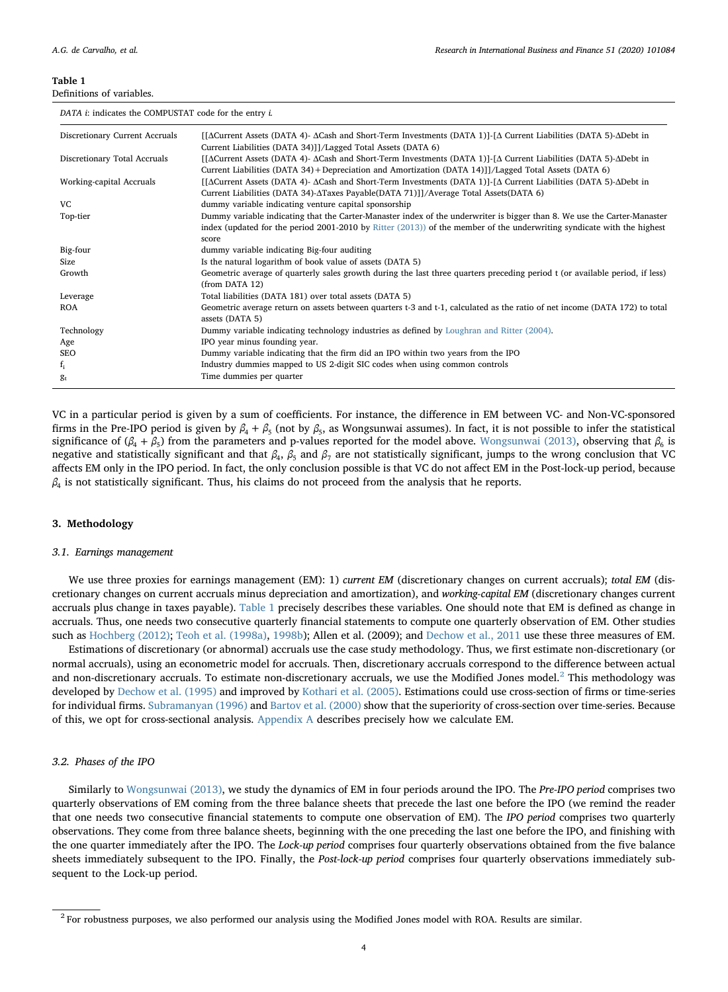## <span id="page-3-1"></span>Definitions of variables.

DATA *i*: indicates the COMPUSTAT code for the entry *i*.

| DITIII a marcated the going collist code for the chary a |                                                                                                                                                                                                                           |
|----------------------------------------------------------|---------------------------------------------------------------------------------------------------------------------------------------------------------------------------------------------------------------------------|
| Discretionary Current Accruals                           | [[ACurrent Assets (DATA 4)- ACash and Short-Term Investments (DATA 1)]-[A Current Liabilities (DATA 5)-ADebt in<br>Current Liabilities (DATA 34)]]/Lagged Total Assets (DATA 6)                                           |
| Discretionary Total Accruals                             | [[ΔCurrent Assets (DATA 4)- ΔCash and Short-Term Investments (DATA 1)]-[Δ Current Liabilities (DATA 5)-ΔDebt in<br>Current Liabilities (DATA 34) + Depreciation and Amortization (DATA 14)]]/Lagged Total Assets (DATA 6) |
| Working-capital Accruals                                 | [[ΔCurrent Assets (DATA 4)- ΔCash and Short-Term Investments (DATA 1)]-[Δ Current Liabilities (DATA 5)-ΔDebt in<br>Current Liabilities (DATA 34)- $\Delta$ Taxes Payable(DATA 71)]]/Average Total Assets(DATA 6)          |
| VC.                                                      | dummy variable indicating venture capital sponsorship                                                                                                                                                                     |
| Top-tier                                                 | Dummy variable indicating that the Carter-Manaster index of the underwriter is bigger than 8. We use the Carter-Manaster                                                                                                  |
|                                                          | index (updated for the period 2001-2010 by Ritter $(2013)$ ) of the member of the underwriting syndicate with the highest<br>score                                                                                        |
| Big-four                                                 | dummy variable indicating Big-four auditing                                                                                                                                                                               |
| Size                                                     | Is the natural logarithm of book value of assets (DATA 5)                                                                                                                                                                 |
| Growth                                                   | Geometric average of quarterly sales growth during the last three quarters preceding period t (or available period, if less)<br>(from DATA 12)                                                                            |
| Leverage                                                 | Total liabilities (DATA 181) over total assets (DATA 5)                                                                                                                                                                   |
| <b>ROA</b>                                               | Geometric average return on assets between quarters t-3 and t-1, calculated as the ratio of net income (DATA 172) to total<br>assets (DATA 5)                                                                             |
| Technology                                               | Dummy variable indicating technology industries as defined by Loughran and Ritter (2004).                                                                                                                                 |
| Age                                                      | IPO year minus founding year.                                                                                                                                                                                             |
| SEO                                                      | Dummy variable indicating that the firm did an IPO within two years from the IPO                                                                                                                                          |
| $f_i$                                                    | Industry dummies mapped to US 2-digit SIC codes when using common controls                                                                                                                                                |
| g <sub>t</sub>                                           | Time dummies per quarter                                                                                                                                                                                                  |

VC in a particular period is given by a sum of coefficients. For instance, the difference in EM between VC- and Non-VC-sponsored firms in the Pre-IPO period is given by  $\beta_4 + \beta_5$  (not by  $\beta_5$ , as Wongsunwai assumes). In fact, it is not possible to infer the statistical significance of ( $\beta_4 + \beta_5$ ) from the parameters and p-values reported for the model above. [Wongsunwai \(2013\)](#page-13-10), observing that  $\beta_6$  is negative and statistically significant and that  $β_4$ ,  $β_5$  and  $β_7$  are not statistically significant, jumps to the wrong conclusion that VC affects EM only in the IPO period. In fact, the only conclusion possible is that VC do not affect EM in the Post-lock-up period, because  $\beta_4$  is not statistically significant. Thus, his claims do not proceed from the analysis that he reports.

#### <span id="page-3-0"></span>3. Methodology

#### 3.1. Earnings management

We use three proxies for earnings management (EM): 1) current EM (discretionary changes on current accruals); total EM (discretionary changes on current accruals minus depreciation and amortization), and working-capital EM (discretionary changes current accruals plus change in taxes payable). [Table 1](#page-3-1) precisely describes these variables. One should note that EM is defined as change in accruals. Thus, one needs two consecutive quarterly financial statements to compute one quarterly observation of EM. Other studies such as [Hochberg \(2012\)](#page-13-8); [Teoh et al. \(1998a\),](#page-13-19) [1998b\)](#page-13-0); Allen et al. (2009); and [Dechow et al., 2011](#page-13-20) use these three measures of EM.

Estimations of discretionary (or abnormal) accruals use the case study methodology. Thus, we first estimate non-discretionary (or normal accruals), using an econometric model for accruals. Then, discretionary accruals correspond to the difference between actual and non-discretionary accruals. To estimate non-discretionary accruals, we use the Modified Jones model. $<sup>2</sup>$  $<sup>2</sup>$  $<sup>2</sup>$  This methodology was</sup> developed by [Dechow et al. \(1995\)](#page-13-14) and improved by [Kothari et al. \(2005\)](#page-13-16). Estimations could use cross-section of firms or time-series for individual firms. [Subramanyan \(1996\)](#page-13-21) and [Bartov et al. \(2000\)](#page-13-22) show that the superiority of cross-section over time-series. Because of this, we opt for cross-sectional analysis. [Appendix A](#page-12-0) describes precisely how we calculate EM.

# 3.2. Phases of the IPO

Similarly to [Wongsunwai \(2013\)](#page-13-10), we study the dynamics of EM in four periods around the IPO. The Pre-IPO period comprises two quarterly observations of EM coming from the three balance sheets that precede the last one before the IPO (we remind the reader that one needs two consecutive financial statements to compute one observation of EM). The IPO period comprises two quarterly observations. They come from three balance sheets, beginning with the one preceding the last one before the IPO, and finishing with the one quarter immediately after the IPO. The Lock-up period comprises four quarterly observations obtained from the five balance sheets immediately subsequent to the IPO. Finally, the Post-lock-up period comprises four quarterly observations immediately subsequent to the Lock-up period.

<span id="page-3-2"></span> $2$  For robustness purposes, we also performed our analysis using the Modified Jones model with ROA. Results are similar.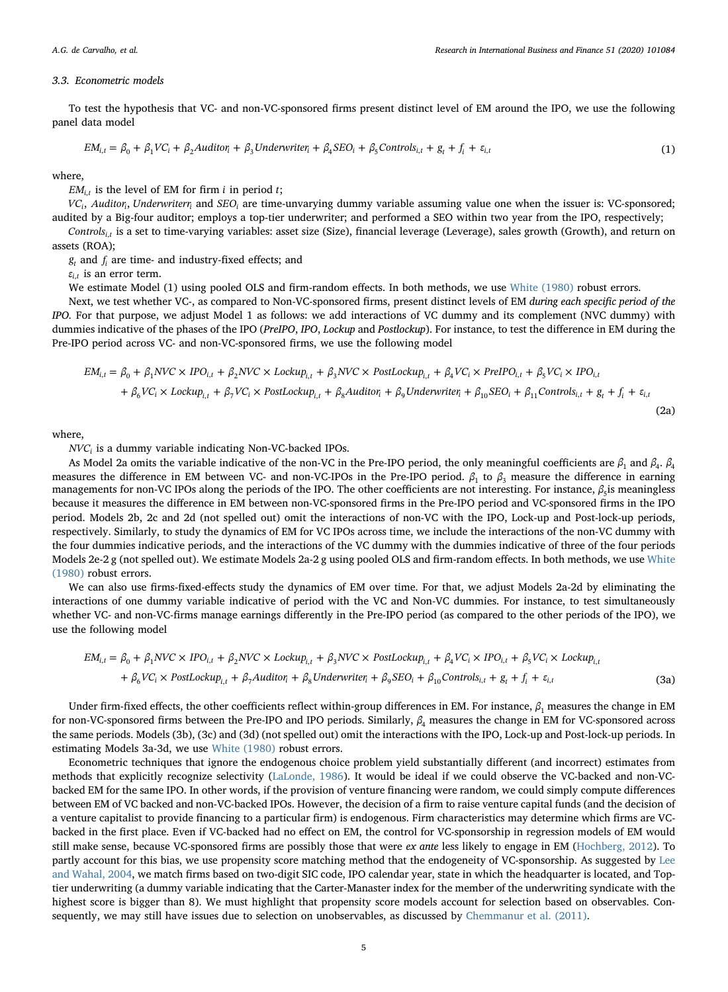#### 3.3. Econometric models

To test the hypothesis that VC- and non-VC-sponsored firms present distinct level of EM around the IPO, we use the following panel data model

$$
EM_{i,t} = \beta_0 + \beta_1 VC_i + \beta_2 Auditor_i + \beta_3 Underwriter_i + \beta_4 SEO_i + \beta_5 Controls_{i,t} + g_t + f_i + \varepsilon_{i,t}
$$
\n(1)

where,

 $EM_{i,t}$  is the level of EM for firm *i* in period *t*;

*VCi*, *Auditori*, *Underwriterri* and *SEOi* are time-unvarying dummy variable assuming value one when the issuer is: VC-sponsored; audited by a Big-four auditor; employs a top-tier underwriter; and performed a SEO within two year from the IPO, respectively;

*Controls<sub>it</sub>* is a set to time-varying variables: asset size (Size), financial leverage (Leverage), sales growth (Growth), and return on assets (ROA);

 $g_t$  and  $f_i$  are time- and industry-fixed effects; and

 $\varepsilon$ <sub>*i*,*t*</sub> is an error term.

We estimate Model (1) using pooled OLS and firm-random effects. In both methods, we use [White \(1980\)](#page-13-25) robust errors.

Next, we test whether VC-, as compared to Non-VC-sponsored firms, present distinct levels of EM during each specific period of the IPO. For that purpose, we adjust Model 1 as follows: we add interactions of VC dummy and its complement (NVC dummy) with dummies indicative of the phases of the IPO (PreIPO, IPO, Lockup and Postlockup). For instance, to test the difference in EM during the Pre-IPO period across VC- and non-VC-sponsored firms, we use the following model

$$
EM_{i,t} = \beta_0 + \beta_1 NVC \times IDO_{i,t} + \beta_2 NVC \times Lockup_{i,t} + \beta_3 NVC \times PostLockup_{i,t} + \beta_4 VC_i \times PreIPO_{i,t} + \beta_5 VC_i \times IDO_{i,t} + \beta_6 VC_i \times Lockup_{i,t} + \beta_7 VC_i \times PostLockup_{i,t} + \beta_8 Addition_i + \beta_9 Underwriter + \beta_{10} SEO_i + \beta_{11} Controls_{i,t} + g_t + f_i + \varepsilon_{i,t}
$$
\n(2a)

where,

*NVCi* is a dummy variable indicating Non-VC-backed IPOs.

As Model 2a omits the variable indicative of the non-VC in the Pre-IPO period, the only meaningful coefficients are *<sup>β</sup>*<sup>1</sup> and *<sup>β</sup>*4. *<sup>β</sup>*<sup>4</sup> measures the difference in EM between VC- and non-VC-IPOs in the Pre-IPO period.  $\beta_1$  to  $\beta_3$  measure the difference in earning managements for non-VC IPOs along the periods of the IPO. The other coefficients are not interesting. For instance, *β*<sub>5</sub>is meaningless because it measures the difference in EM between non-VC-sponsored firms in the Pre-IPO period and VC-sponsored firms in the IPO period. Models 2b, 2c and 2d (not spelled out) omit the interactions of non-VC with the IPO, Lock-up and Post-lock-up periods, respectively. Similarly, to study the dynamics of EM for VC IPOs across time, we include the interactions of the non-VC dummy with the four dummies indicative periods, and the interactions of the VC dummy with the dummies indicative of three of the four periods Models 2e-2 g (not spelled out). We estimate Models 2a-2 g using pooled OLS and firm-random effects. In both methods, we use [White](#page-13-25) [\(1980\)](#page-13-25) robust errors.

We can also use firms-fixed-effects study the dynamics of EM over time. For that, we adjust Models 2a-2d by eliminating the interactions of one dummy variable indicative of period with the VC and Non-VC dummies. For instance, to test simultaneously whether VC- and non-VC-firms manage earnings differently in the Pre-IPO period (as compared to the other periods of the IPO), we use the following model

$$
EM_{i,t} = \beta_0 + \beta_1 NVC \times IDO_{i,t} + \beta_2 NVC \times Lockup_{i,t} + \beta_3 NVC \times PostLockup_{i,t} + \beta_4 VC_i \times IDO_{i,t} + \beta_5 VC_i \times Lockup_{i,t} + \beta_6 VC_i \times PostLockup_{i,t} + \beta_7 Autitor_i + \beta_8 Unditor_i + \beta_9 SEO_i + \beta_{10} Controls_{i,t} + g_t + f_i + \varepsilon_{i,t}
$$
\n(3a)

Under firm-fixed effects, the other coefficients reflect within-group differences in EM. For instance,  $β_1$  measures the change in EM for non-VC-sponsored firms between the Pre-IPO and IPO periods. Similarly, *<sup>β</sup>*<sup>4</sup> measures the change in EM for VC-sponsored across the same periods. Models (3b), (3c) and (3d) (not spelled out) omit the interactions with the IPO, Lock-up and Post-lock-up periods. In estimating Models 3a-3d, we use [White \(1980\)](#page-13-25) robust errors.

Econometric techniques that ignore the endogenous choice problem yield substantially different (and incorrect) estimates from methods that explicitly recognize selectivity ([LaLonde, 1986\)](#page-13-26). It would be ideal if we could observe the VC-backed and non-VCbacked EM for the same IPO. In other words, if the provision of venture financing were random, we could simply compute differences between EM of VC backed and non-VC-backed IPOs. However, the decision of a firm to raise venture capital funds (and the decision of a venture capitalist to provide financing to a particular firm) is endogenous. Firm characteristics may determine which firms are VCbacked in the first place. Even if VC-backed had no effect on EM, the control for VC-sponsorship in regression models of EM would still make sense, because VC-sponsored firms are possibly those that were ex ante less likely to engage in EM [\(Hochberg, 2012](#page-13-8)). To partly account for this bias, we use propensity score matching method that the endogeneity of VC-sponsorship. As suggested by [Lee](#page-13-27) [and Wahal, 2004,](#page-13-27) we match firms based on two-digit SIC code, IPO calendar year, state in which the headquarter is located, and Toptier underwriting (a dummy variable indicating that the Carter-Manaster index for the member of the underwriting syndicate with the highest score is bigger than 8). We must highlight that propensity score models account for selection based on observables. Consequently, we may still have issues due to selection on unobservables, as discussed by [Chemmanur et al. \(2011\)](#page-13-28).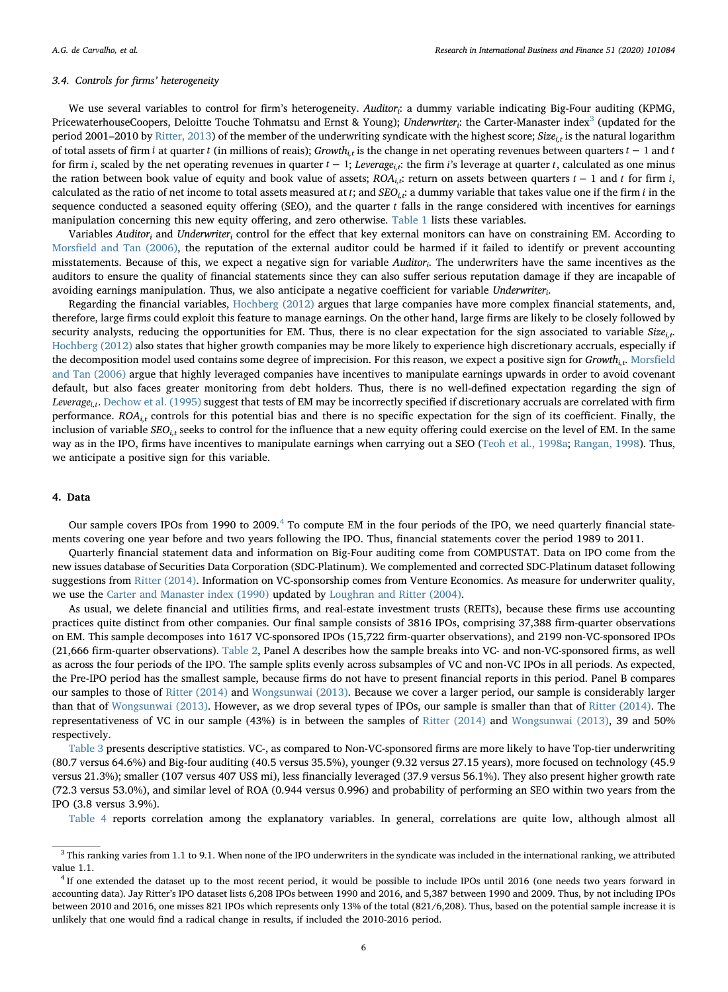# 3.4. Controls for firms' heterogeneity

We use several variables to control for firm's heterogeneity. Auditor<sub>i</sub>: a dummy variable indicating Big-Four auditing (KPMG, PricewaterhouseCoopers, Deloitte Touche Tohmatsu and Ernst & Young); Underwriter<sub>i</sub>: the Carter-Manaster index<sup>[3](#page-5-1)</sup> (updated for the period 2001–2010 by [Ritter, 2013](#page-13-23)) of the member of the underwriting syndicate with the highest score; Size<sub>it</sub> is the natural logarithm of total assets of firm *i* at quarter *t* (in millions of reais); Growth<sub>it</sub> is the change in net operating revenues between quarters *t* − 1 and *t* for firm *i*, scaled by the net operating revenues in quarter  $t - 1$ ; Leverage<sub>is</sub>: the firm *i*'s leverage at quarter *t*, calculated as one minus the ration between book value of equity and book value of assets; ROAi,t: return on assets between quarters *t* − 1 and *t* for firm *i*, calculated as the ratio of net income to total assets measured at  $t$ ; and  $SEO_{i,t}$ : a dummy variable that takes value one if the firm *i* in the sequence conducted a seasoned equity offering (SEO), and the quarter *t* falls in the range considered with incentives for earnings manipulation concerning this new equity offering, and zero otherwise. [Table 1](#page-3-1) lists these variables.

Variables Auditor<sub>i</sub> and Underwriter<sub>i</sub> control for the effect that key external monitors can have on constraining EM. According to Morsfi[eld and Tan \(2006\),](#page-13-9) the reputation of the external auditor could be harmed if it failed to identify or prevent accounting misstatements. Because of this, we expect a negative sign for variable Auditor<sub>i</sub>. The underwriters have the same incentives as the auditors to ensure the quality of financial statements since they can also suffer serious reputation damage if they are incapable of avoiding earnings manipulation. Thus, we also anticipate a negative coefficient for variable Underwriteri.

Regarding the financial variables, [Hochberg \(2012\)](#page-13-8) argues that large companies have more complex financial statements, and, therefore, large firms could exploit this feature to manage earnings. On the other hand, large firms are likely to be closely followed by security analysts, reducing the opportunities for EM. Thus, there is no clear expectation for the sign associated to variable  $Size<sub>ir</sub>$ . [Hochberg \(2012\)](#page-13-8) also states that higher growth companies may be more likely to experience high discretionary accruals, especially if the decomposition model used contains some degree of imprecision. For this reason, we expect a positive sign for Growth<sub>i,t</sub>. [Mors](#page-13-9)field [and Tan \(2006\)](#page-13-9) argue that highly leveraged companies have incentives to manipulate earnings upwards in order to avoid covenant default, but also faces greater monitoring from debt holders. Thus, there is no well-defined expectation regarding the sign of *Leveragei*,*t*. [Dechow et al. \(1995\)](#page-13-14) suggest that tests of EM may be incorrectly specified if discretionary accruals are correlated with firm performance.  $ROA_{i,t}$  controls for this potential bias and there is no specific expectation for the sign of its coefficient. Finally, the inclusion of variable  $$EO_{i,t}$$  seeks to control for the influence that a new equity offering could exercise on the level of EM. In the same way as in the IPO, firms have incentives to manipulate earnings when carrying out a SEO ([Teoh et al., 1998a;](#page-13-19) [Rangan, 1998](#page-13-17)). Thus, we anticipate a positive sign for this variable.

## <span id="page-5-0"></span>4. Data

Our sample covers IPOs from 1990 to 2009.<sup>[4](#page-5-2)</sup> To compute EM in the four periods of the IPO, we need quarterly financial statements covering one year before and two years following the IPO. Thus, financial statements cover the period 1989 to 2011.

Quarterly financial statement data and information on Big-Four auditing come from COMPUSTAT. Data on IPO come from the new issues database of Securities Data Corporation (SDC-Platinum). We complemented and corrected SDC-Platinum dataset following suggestions from [Ritter \(2014\).](#page-13-29) Information on VC-sponsorship comes from Venture Economics. As measure for underwriter quality, we use the [Carter and Manaster index \(1990\)](#page-13-30) updated by [Loughran and Ritter \(2004\)](#page-13-24).

As usual, we delete financial and utilities firms, and real-estate investment trusts (REITs), because these firms use accounting practices quite distinct from other companies. Our final sample consists of 3816 IPOs, comprising 37,388 firm-quarter observations on EM. This sample decomposes into 1617 VC-sponsored IPOs (15,722 firm-quarter observations), and 2199 non-VC-sponsored IPOs (21,666 firm-quarter observations). [Table 2,](#page-6-1) Panel A describes how the sample breaks into VC- and non-VC-sponsored firms, as well as across the four periods of the IPO. The sample splits evenly across subsamples of VC and non-VC IPOs in all periods. As expected, the Pre-IPO period has the smallest sample, because firms do not have to present financial reports in this period. Panel B compares our samples to those of [Ritter \(2014\)](#page-13-29) and [Wongsunwai \(2013\)](#page-13-10). Because we cover a larger period, our sample is considerably larger than that of [Wongsunwai \(2013\).](#page-13-10) However, as we drop several types of IPOs, our sample is smaller than that of [Ritter \(2014\)](#page-13-29). The representativeness of VC in our sample (43%) is in between the samples of [Ritter \(2014\)](#page-13-29) and [Wongsunwai \(2013\),](#page-13-10) 39 and 50% respectively.

[Table 3](#page-6-2) presents descriptive statistics. VC-, as compared to Non-VC-sponsored firms are more likely to have Top-tier underwriting (80.7 versus 64.6%) and Big-four auditing (40.5 versus 35.5%), younger (9.32 versus 27.15 years), more focused on technology (45.9 versus 21.3%); smaller (107 versus 407 US\$ mi), less financially leveraged (37.9 versus 56.1%). They also present higher growth rate (72.3 versus 53.0%), and similar level of ROA (0.944 versus 0.996) and probability of performing an SEO within two years from the IPO (3.8 versus 3.9%).

[Table 4](#page-7-0) reports correlation among the explanatory variables. In general, correlations are quite low, although almost all

<span id="page-5-1"></span> $3$  This ranking varies from 1.1 to 9.1. When none of the IPO underwriters in the syndicate was included in the international ranking, we attributed value 1.1.

<span id="page-5-2"></span><sup>&</sup>lt;sup>4</sup> If one extended the dataset up to the most recent period, it would be possible to include IPOs until 2016 (one needs two years forward in accounting data). Jay Ritter's IPO dataset lists 6,208 IPOs between 1990 and 2016, and 5,387 between 1990 and 2009. Thus, by not including IPOs between 2010 and 2016, one misses 821 IPOs which represents only 13% of the total (821/6,208). Thus, based on the potential sample increase it is unlikely that one would find a radical change in results, if included the 2010-2016 period.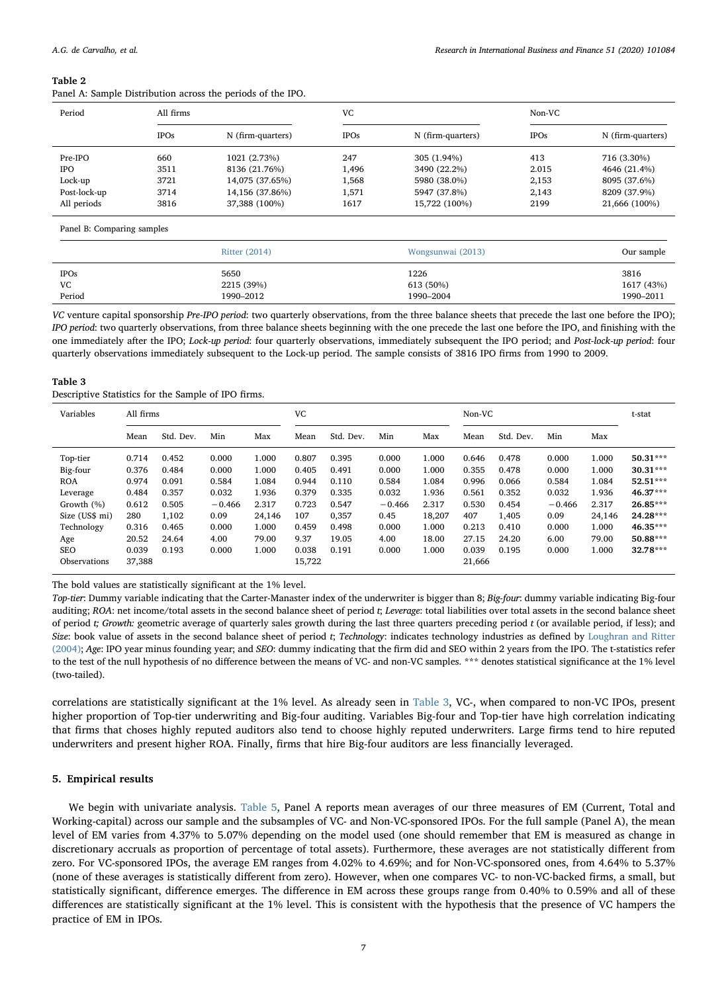<span id="page-6-1"></span>Panel A: Sample Distribution across the periods of the IPO.

| Period       | All firms   |                   | VC          |                   | Non-VC      |                   |  |
|--------------|-------------|-------------------|-------------|-------------------|-------------|-------------------|--|
|              | <b>IPOs</b> | N (firm-quarters) | <b>IPOs</b> | N (firm-quarters) | <b>IPOs</b> | N (firm-quarters) |  |
| Pre-IPO      | 660         | 1021 (2.73%)      | 247         | 305 (1.94%)       | 413         | 716 (3.30%)       |  |
| <b>IPO</b>   | 3511        | 8136 (21.76%)     | 1.496       | 3490 (22.2%)      | 2.015       | 4646 (21.4%)      |  |
| Lock-up      | 3721        | 14,075 (37.65%)   | 1.568       | 5980 (38.0%)      | 2,153       | 8095 (37.6%)      |  |
| Post-lock-up | 3714        | 14,156 (37.86%)   | 1,571       | 5947 (37.8%)      | 2,143       | 8209 (37.9%)      |  |
| All periods  | 3816        | 37,388 (100%)     | 1617        | 15,722 (100%)     | 2199        | 21,666 (100%)     |  |

Panel B: Comparing samples

|                   | Ritter (2014)      | Wongsunwai (2013) | Our sample         |
|-------------------|--------------------|-------------------|--------------------|
| <b>IPOs</b><br>VC | 5650<br>2215 (39%) | 1226<br>613 (50%) | 3816<br>1617 (43%) |
| Period            | 1990–2012          | 1990-2004         | 1990-2011          |

VC venture capital sponsorship Pre-IPO period: two quarterly observations, from the three balance sheets that precede the last one before the IPO); IPO period: two quarterly observations, from three balance sheets beginning with the one precede the last one before the IPO, and finishing with the one immediately after the IPO; Lock-up period: four quarterly observations, immediately subsequent the IPO period; and Post-lock-up period: four quarterly observations immediately subsequent to the Lock-up period. The sample consists of 3816 IPO firms from 1990 to 2009.

## <span id="page-6-2"></span>Table 3

| Variables      |        | All firms |          |        |        | VC        |          |        | Non-VC |           |          |        | t-stat     |
|----------------|--------|-----------|----------|--------|--------|-----------|----------|--------|--------|-----------|----------|--------|------------|
|                | Mean   | Std. Dev. | Min      | Max    | Mean   | Std. Dev. | Min      | Max    | Mean   | Std. Dev. | Min      | Max    |            |
| Top-tier       | 0.714  | 0.452     | 0.000    | 1.000  | 0.807  | 0.395     | 0.000    | 1.000  | 0.646  | 0.478     | 0.000    | 1.000  | 50.31***   |
| Big-four       | 0.376  | 0.484     | 0.000    | 1.000  | 0.405  | 0.491     | 0.000    | 1.000  | 0.355  | 0.478     | 0.000    | 1.000  | $30.31***$ |
| <b>ROA</b>     | 0.974  | 0.091     | 0.584    | 1.084  | 0.944  | 0.110     | 0.584    | 1.084  | 0.996  | 0.066     | 0.584    | 1.084  | 52.51***   |
| Leverage       | 0.484  | 0.357     | 0.032    | 1.936  | 0.379  | 0.335     | 0.032    | 1.936  | 0.561  | 0.352     | 0.032    | 1.936  | 46.37***   |
| Growth (%)     | 0.612  | 0.505     | $-0.466$ | 2.317  | 0.723  | 0.547     | $-0.466$ | 2.317  | 0.530  | 0.454     | $-0.466$ | 2.317  | 26.85***   |
| Size (US\$ mi) | 280    | 1.102     | 0.09     | 24.146 | 107    | 0,357     | 0.45     | 18.207 | 407    | 1,405     | 0.09     | 24.146 | 24.28***   |
| Technology     | 0.316  | 0.465     | 0.000    | 1.000  | 0.459  | 0.498     | 0.000    | 1.000  | 0.213  | 0.410     | 0.000    | 1.000  | 46.35***   |
| Age            | 20.52  | 24.64     | 4.00     | 79.00  | 9.37   | 19.05     | 4.00     | 18.00  | 27.15  | 24.20     | 6.00     | 79.00  | 50.88***   |
| <b>SEO</b>     | 0.039  | 0.193     | 0.000    | 1.000  | 0.038  | 0.191     | 0.000    | 1.000  | 0.039  | 0.195     | 0.000    | 1.000  | 32.78***   |
| Observations   | 37,388 |           |          |        | 15,722 |           |          |        | 21,666 |           |          |        |            |

The bold values are statistically significant at the 1% level.

Top-tier: Dummy variable indicating that the Carter-Manaster index of the underwriter is bigger than 8; Big-four: dummy variable indicating Big-four auditing; ROA: net income/total assets in the second balance sheet of period t; Leverage: total liabilities over total assets in the second balance sheet of period  $t_i$  Growth: geometric average of quarterly sales growth during the last three quarters preceding period  $t$  (or available period, if less); and Size: book value of assets in the second balance sheet of period t; Technology: indicates technology industries as defined by [Loughran and Ritter](#page-13-24) [\(2004\);](#page-13-24) Age: IPO year minus founding year; and SEO: dummy indicating that the firm did and SEO within 2 years from the IPO. The t-statistics refer to the test of the null hypothesis of no difference between the means of VC- and non-VC samples. \*\*\* denotes statistical significance at the 1% level (two-tailed).

correlations are statistically significant at the 1% level. As already seen in [Table 3,](#page-6-2) VC-, when compared to non-VC IPOs, present higher proportion of Top-tier underwriting and Big-four auditing. Variables Big-four and Top-tier have high correlation indicating that firms that choses highly reputed auditors also tend to choose highly reputed underwriters. Large firms tend to hire reputed underwriters and present higher ROA. Finally, firms that hire Big-four auditors are less financially leveraged.

## <span id="page-6-0"></span>5. Empirical results

We begin with univariate analysis. [Table 5](#page-7-1), Panel A reports mean averages of our three measures of EM (Current, Total and Working-capital) across our sample and the subsamples of VC- and Non-VC-sponsored IPOs. For the full sample (Panel A), the mean level of EM varies from 4.37% to 5.07% depending on the model used (one should remember that EM is measured as change in discretionary accruals as proportion of percentage of total assets). Furthermore, these averages are not statistically different from zero. For VC-sponsored IPOs, the average EM ranges from 4.02% to 4.69%; and for Non-VC-sponsored ones, from 4.64% to 5.37% (none of these averages is statistically different from zero). However, when one compares VC- to non-VC-backed firms, a small, but statistically significant, difference emerges. The difference in EM across these groups range from 0.40% to 0.59% and all of these differences are statistically significant at the 1% level. This is consistent with the hypothesis that the presence of VC hampers the practice of EM in IPOs.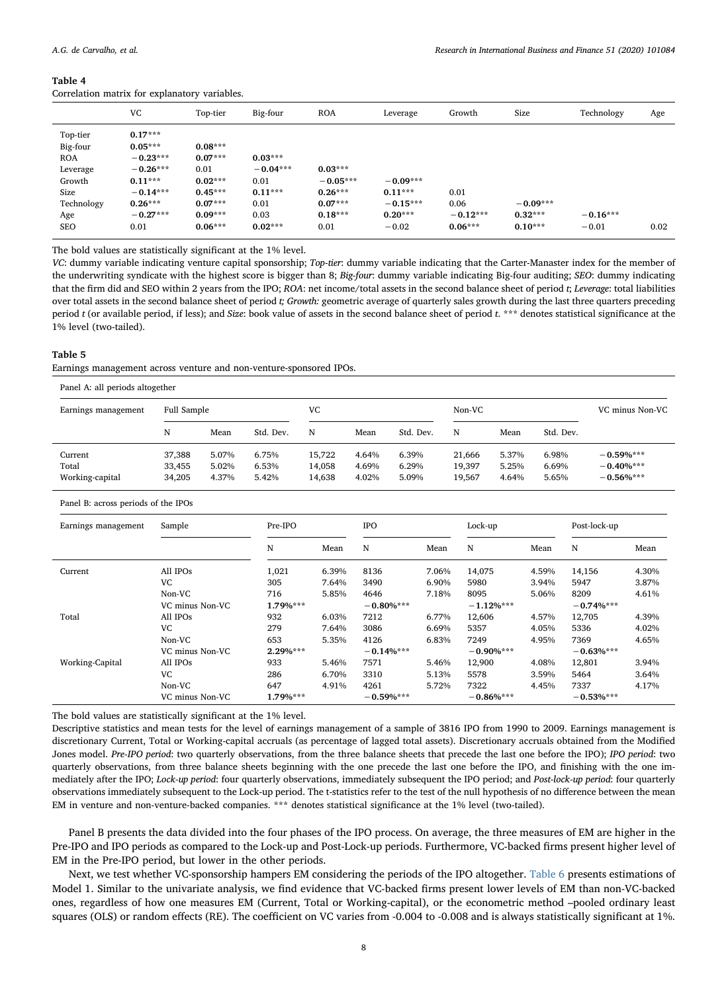<span id="page-7-0"></span>

|  | Correlation matrix for explanatory variables. |  |
|--|-----------------------------------------------|--|
|  |                                               |  |

|            | VC         | Top-tier  | Big-four   | <b>ROA</b> | Leverage   | Growth     | Size       | Technology | Age  |
|------------|------------|-----------|------------|------------|------------|------------|------------|------------|------|
| Top-tier   | $0.17***$  |           |            |            |            |            |            |            |      |
| Big-four   | $0.05***$  | $0.08***$ |            |            |            |            |            |            |      |
| <b>ROA</b> | $-0.23***$ | $0.07***$ | $0.03***$  |            |            |            |            |            |      |
| Leverage   | $-0.26***$ | 0.01      | $-0.04***$ | $0.03***$  |            |            |            |            |      |
| Growth     | $0.11***$  | $0.02***$ | 0.01       | $-0.05***$ | $-0.09***$ |            |            |            |      |
| Size       | $-0.14***$ | $0.45***$ | $0.11***$  | $0.26***$  | $0.11***$  | 0.01       |            |            |      |
| Technology | $0.26***$  | $0.07***$ | 0.01       | $0.07***$  | $-0.15***$ | 0.06       | $-0.09***$ |            |      |
| Age        | $-0.27***$ | $0.09***$ | 0.03       | $0.18***$  | $0.20***$  | $-0.12***$ | $0.32***$  | $-0.16***$ |      |
| SEO        | 0.01       | $0.06***$ | $0.02***$  | 0.01       | $-0.02$    | $0.06***$  | $0.10***$  | $-0.01$    | 0.02 |

The bold values are statistically significant at the 1% level.

VC: dummy variable indicating venture capital sponsorship; Top-tier: dummy variable indicating that the Carter-Manaster index for the member of the underwriting syndicate with the highest score is bigger than 8; Big-four: dummy variable indicating Big-four auditing; SEO: dummy indicating that the firm did and SEO within 2 years from the IPO; ROA: net income/total assets in the second balance sheet of period t; Leverage: total liabilities over total assets in the second balance sheet of period t; Growth: geometric average of quarterly sales growth during the last three quarters preceding period  $t$  (or available period, if less); and Size: book value of assets in the second balance sheet of period  $t$ , \*\*\* denotes statistical significance at the 1% level (two-tailed).

# <span id="page-7-1"></span>Table 5

Earnings management across venture and non-venture-sponsored IPOs.

|  |  |  |  |  | Panel A: all periods altogether |  |
|--|--|--|--|--|---------------------------------|--|
|--|--|--|--|--|---------------------------------|--|

| Earnings management | Full Sample |       |           | VC     | Non-VC |           |        |       |           | VC minus Non-VC |  |
|---------------------|-------------|-------|-----------|--------|--------|-----------|--------|-------|-----------|-----------------|--|
|                     | N           | Mean  | Std. Dev. | N      | Mean   | Std. Dev. | N      | Mean  | Std. Dev. |                 |  |
| Current             | 37,388      | 5.07% | 6.75%     | 15.722 | 4.64%  | 6.39%     | 21.666 | 5.37% | 6.98%     | $-0.59%***$     |  |
| Total               | 33,455      | 5.02% | 6.53%     | 14,058 | 4.69%  | 6.29%     | 19,397 | 5.25% | 6.69%     | $-0.40\%***$    |  |
| Working-capital     | 34,205      | 4.37% | 5.42%     | 14,638 | 4.02%  | 5.09%     | 19,567 | 4.64% | 5.65%     | $-0.56%***$     |  |

Panel B: across periods of the IPOs

| Earnings management | Sample          | Pre-IPO    |       |              | <b>IPO</b> |               | Lock-up |               | Post-lock-up |  |
|---------------------|-----------------|------------|-------|--------------|------------|---------------|---------|---------------|--------------|--|
|                     |                 | N          | Mean  | N            | Mean       | N             | Mean    | N             | Mean         |  |
| Current             | All IPOs        | 1,021      | 6.39% | 8136         | 7.06%      | 14,075        | 4.59%   | 14,156        | 4.30%        |  |
|                     | <b>VC</b>       | 305        | 7.64% | 3490         | 6.90%      | 5980          | 3.94%   | 5947          | 3.87%        |  |
|                     | Non-VC          | 716        | 5.85% | 4646         | 7.18%      | 8095          | 5.06%   | 8209          | 4.61%        |  |
|                     | VC minus Non-VC | $1.79%***$ |       | $-0.80\%***$ |            | $-1.12\%$ *** |         | $-0.74%***$   |              |  |
| Total               | All IPOs        | 932        | 6.03% | 7212         | 6.77%      | 12,606        | 4.57%   | 12,705        | 4.39%        |  |
|                     | <b>VC</b>       | 279        | 7.64% | 3086         | 6.69%      | 5357          | 4.05%   | 5336          | 4.02%        |  |
|                     | Non-VC          | 653        | 5.35% | 4126         | 6.83%      | 7249          | 4.95%   | 7369          | 4.65%        |  |
|                     | VC minus Non-VC | $2.29%***$ |       | $-0.14\%***$ |            | $-0.90\%***$  |         | $-0.63%***$   |              |  |
| Working-Capital     | All IPOs        | 933        | 5.46% | 7571         | 5.46%      | 12,900        | 4.08%   | 12,801        | 3.94%        |  |
|                     | <b>VC</b>       | 286        | 6.70% | 3310         | 5.13%      | 5578          | 3.59%   | 5464          | 3.64%        |  |
|                     | Non-VC          | 647        | 4.91% | 4261         | 5.72%      | 7322          | 4.45%   | 7337          | 4.17%        |  |
|                     | VC minus Non-VC | $1.79%***$ |       | $-0.59\%***$ |            | $-0.86%$ ***  |         | $-0.53\%$ *** |              |  |

The bold values are statistically significant at the 1% level.

Descriptive statistics and mean tests for the level of earnings management of a sample of 3816 IPO from 1990 to 2009. Earnings management is discretionary Current, Total or Working-capital accruals (as percentage of lagged total assets). Discretionary accruals obtained from the Modified Jones model. Pre-IPO period: two quarterly observations, from the three balance sheets that precede the last one before the IPO); IPO period: two quarterly observations, from three balance sheets beginning with the one precede the last one before the IPO, and finishing with the one immediately after the IPO; Lock-up period: four quarterly observations, immediately subsequent the IPO period; and Post-lock-up period: four quarterly observations immediately subsequent to the Lock-up period. The t-statistics refer to the test of the null hypothesis of no difference between the mean EM in venture and non-venture-backed companies. \*\*\* denotes statistical significance at the 1% level (two-tailed).

Panel B presents the data divided into the four phases of the IPO process. On average, the three measures of EM are higher in the Pre-IPO and IPO periods as compared to the Lock-up and Post-Lock-up periods. Furthermore, VC-backed firms present higher level of EM in the Pre-IPO period, but lower in the other periods.

Next, we test whether VC-sponsorship hampers EM considering the periods of the IPO altogether. [Table 6](#page-8-0) presents estimations of Model 1. Similar to the univariate analysis, we find evidence that VC-backed firms present lower levels of EM than non-VC-backed ones, regardless of how one measures EM (Current, Total or Working-capital), or the econometric method –pooled ordinary least squares (OLS) or random effects (RE). The coefficient on VC varies from -0.004 to -0.008 and is always statistically significant at 1%.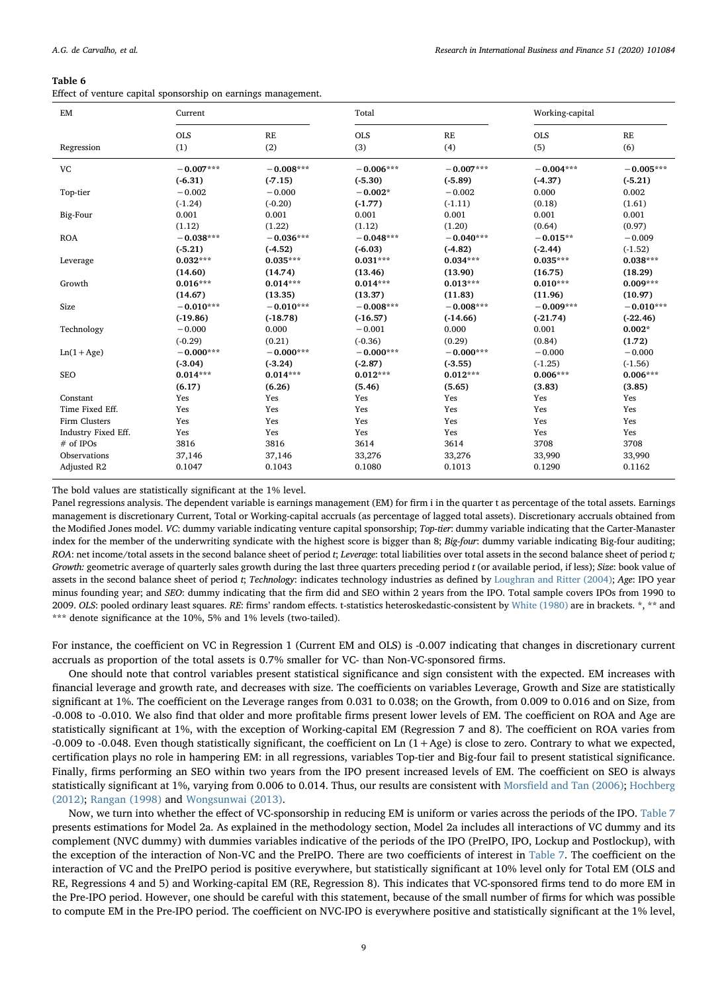<span id="page-8-0"></span>Effect of venture capital sponsorship on earnings management.

| $\boldsymbol{\mathrm{EM}}$ | Current     |             | Total       |             | Working-capital |             |
|----------------------------|-------------|-------------|-------------|-------------|-----------------|-------------|
|                            | <b>OLS</b>  | RE          | <b>OLS</b>  | RE          | <b>OLS</b>      | RE          |
| Regression                 | (1)         | (2)         | (3)         | (4)         | (5)             | (6)         |
| VC                         | $-0.007***$ | $-0.008***$ | $-0.006***$ | $-0.007***$ | $-0.004***$     | $-0.005***$ |
|                            | $(-6.31)$   | $(-7.15)$   | $(-5.30)$   | $(-5.89)$   | $(-4.37)$       | $(-5.21)$   |
| Top-tier                   | $-0.002$    | $-0.000$    | $-0.002*$   | $-0.002$    | 0.000           | 0.002       |
|                            | $(-1.24)$   | $(-0.20)$   | $(-1.77)$   | $(-1.11)$   | (0.18)          | (1.61)      |
| Big-Four                   | 0.001       | 0.001       | 0.001       | 0.001       | 0.001           | 0.001       |
|                            | (1.12)      | (1.22)      | (1.12)      | (1.20)      | (0.64)          | (0.97)      |
| <b>ROA</b>                 | $-0.038***$ | $-0.036***$ | $-0.048***$ | $-0.040***$ | $-0.015**$      | $-0.009$    |
|                            | $(-5.21)$   | $(-4.52)$   | $(-6.03)$   | $(-4.82)$   | $(-2.44)$       | $(-1.52)$   |
| Leverage                   | $0.032***$  | $0.035***$  | $0.031***$  | $0.034***$  | $0.035***$      | $0.038***$  |
|                            | (14.60)     | (14.74)     | (13.46)     | (13.90)     | (16.75)         | (18.29)     |
| Growth                     | $0.016***$  | $0.014***$  | $0.014***$  | $0.013***$  | $0.010***$      | $0.009***$  |
|                            | (14.67)     | (13.35)     | (13.37)     | (11.83)     | (11.96)         | (10.97)     |
| Size                       | $-0.010***$ | $-0.010***$ | $-0.008***$ | $-0.008***$ | $-0.009***$     | $-0.010***$ |
|                            | $(-19.86)$  | $(-18.78)$  | $(-16.57)$  | $(-14.66)$  | $(-21.74)$      | $(-22.46)$  |
| Technology                 | $-0.000$    | 0.000       | $-0.001$    | 0.000       | 0.001           | $0.002*$    |
|                            | $(-0.29)$   | (0.21)      | $(-0.36)$   | (0.29)      | (0.84)          | (1.72)      |
| $Ln(1 + Age)$              | $-0.000***$ | $-0.000***$ | $-0.000***$ | $-0.000***$ | $-0.000$        | $-0.000$    |
|                            | $(-3.04)$   | (.3.24)     | $(-2.87)$   | (.3.55)     | $(-1.25)$       | $(-1.56)$   |
| <b>SEO</b>                 | $0.014***$  | $0.014***$  | $0.012***$  | $0.012***$  | $0.006***$      | $0.006***$  |
|                            | (6.17)      | (6.26)      | (5.46)      | (5.65)      | (3.83)          | (3.85)      |
| Constant                   | Yes         | Yes         | Yes         | Yes         | Yes             | Yes         |
| Time Fixed Eff.            | Yes         | Yes         | Yes         | Yes         | Yes             | Yes         |
| Firm Clusters              | Yes         | Yes         | Yes         | Yes         | Yes             | Yes         |
| Industry Fixed Eff.        | Yes         | Yes         | Yes         | Yes         | Yes             | Yes         |
| # of IPOs                  | 3816        | 3816        | 3614        | 3614        | 3708            | 3708        |
| Observations               | 37,146      | 37,146      | 33,276      | 33,276      | 33,990          | 33,990      |
| Adjusted R2                | 0.1047      | 0.1043      | 0.1080      | 0.1013      | 0.1290          | 0.1162      |

The bold values are statistically significant at the 1% level.

Panel regressions analysis. The dependent variable is earnings management (EM) for firm i in the quarter t as percentage of the total assets. Earnings management is discretionary Current, Total or Working-capital accruals (as percentage of lagged total assets). Discretionary accruals obtained from the Modified Jones model. VC: dummy variable indicating venture capital sponsorship; Top-tier: dummy variable indicating that the Carter-Manaster index for the member of the underwriting syndicate with the highest score is bigger than 8; Big-four: dummy variable indicating Big-four auditing; ROA: net income/total assets in the second balance sheet of period t; Leverage: total liabilities over total assets in the second balance sheet of period t; Growth: geometric average of quarterly sales growth during the last three quarters preceding period t (or available period, if less); Size: book value of assets in the second balance sheet of period t; Technology: indicates technology industries as defined by [Loughran and Ritter \(2004\)](#page-13-24); Age: IPO year minus founding year; and SEO: dummy indicating that the firm did and SEO within 2 years from the IPO. Total sample covers IPOs from 1990 to 2009. OLS: pooled ordinary least squares. RE: firms' random effects. t-statistics heteroskedastic-consistent by [White \(1980\)](#page-13-25) are in brackets. \*, \*\* and \*\*\* denote significance at the 10%, 5% and 1% levels (two-tailed).

For instance, the coefficient on VC in Regression 1 (Current EM and OLS) is -0.007 indicating that changes in discretionary current accruals as proportion of the total assets is 0.7% smaller for VC- than Non-VC-sponsored firms.

One should note that control variables present statistical significance and sign consistent with the expected. EM increases with financial leverage and growth rate, and decreases with size. The coefficients on variables Leverage, Growth and Size are statistically significant at 1%. The coefficient on the Leverage ranges from 0.031 to 0.038; on the Growth, from 0.009 to 0.016 and on Size, from -0.008 to -0.010. We also find that older and more profitable firms present lower levels of EM. The coefficient on ROA and Age are statistically significant at 1%, with the exception of Working-capital EM (Regression 7 and 8). The coefficient on ROA varies from -0.009 to -0.048. Even though statistically significant, the coefficient on Ln  $(1+Age)$  is close to zero. Contrary to what we expected, certification plays no role in hampering EM: in all regressions, variables Top-tier and Big-four fail to present statistical significance. Finally, firms performing an SEO within two years from the IPO present increased levels of EM. The coefficient on SEO is always statistically significant at 1%, varying from 0.006 to 0.014. Thus, our results are consistent with Morsfi[eld and Tan \(2006\);](#page-13-9) [Hochberg](#page-13-8) [\(2012\);](#page-13-8) [Rangan \(1998\)](#page-13-17) and [Wongsunwai \(2013\)](#page-13-10).

Now, we turn into whether the effect of VC-sponsorship in reducing EM is uniform or varies across the periods of the IPO. [Table 7](#page-9-0) presents estimations for Model 2a. As explained in the methodology section, Model 2a includes all interactions of VC dummy and its complement (NVC dummy) with dummies variables indicative of the periods of the IPO (PreIPO, IPO, Lockup and Postlockup), with the exception of the interaction of Non-VC and the PreIPO. There are two coefficients of interest in [Table 7](#page-9-0). The coefficient on the interaction of VC and the PreIPO period is positive everywhere, but statistically significant at 10% level only for Total EM (OLS and RE, Regressions 4 and 5) and Working-capital EM (RE, Regression 8). This indicates that VC-sponsored firms tend to do more EM in the Pre-IPO period. However, one should be careful with this statement, because of the small number of firms for which was possible to compute EM in the Pre-IPO period. The coefficient on NVC-IPO is everywhere positive and statistically significant at the 1% level,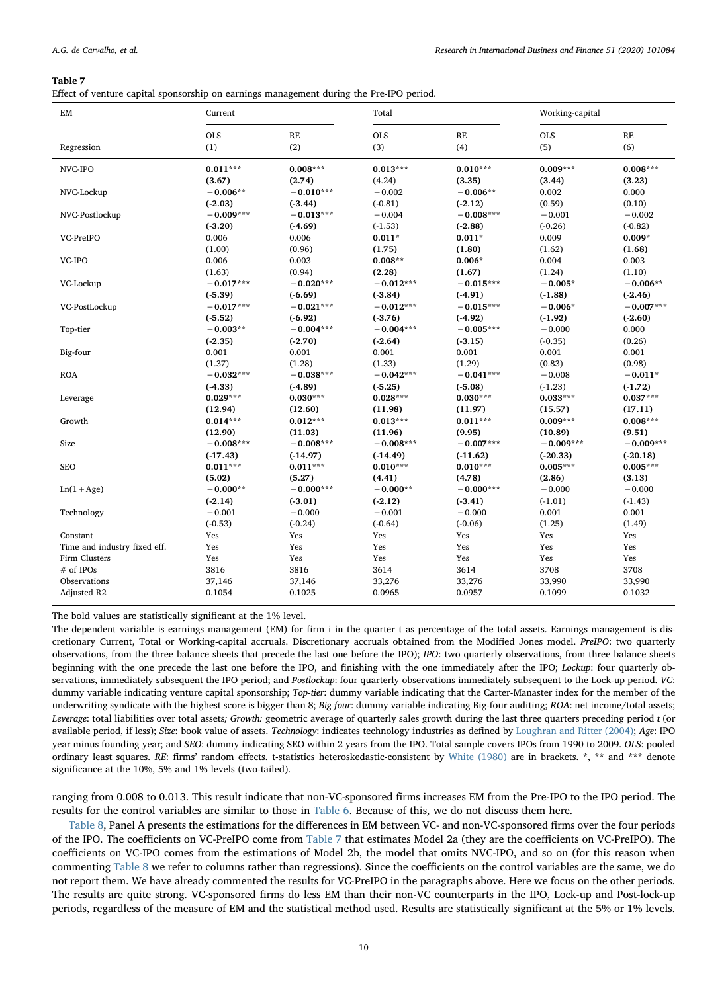<span id="page-9-0"></span>

|  |  |  | Effect of venture capital sponsorship on earnings management during the Pre-IPO period. |  |  |
|--|--|--|-----------------------------------------------------------------------------------------|--|--|
|  |  |  |                                                                                         |  |  |
|  |  |  |                                                                                         |  |  |
|  |  |  |                                                                                         |  |  |

| EM                           | Current     |             | Total       |               | Working-capital |               |
|------------------------------|-------------|-------------|-------------|---------------|-----------------|---------------|
|                              | <b>OLS</b>  | RE          | <b>OLS</b>  | $\mathbf{RE}$ | <b>OLS</b>      | $\mathbf{RE}$ |
| Regression                   | (1)         | (2)         | (3)         | (4)           | (5)             | (6)           |
| NVC-IPO                      | $0.011***$  | $0.008***$  | $0.013***$  | $0.010***$    | $0.009***$      | $0.008***$    |
|                              | (3.67)      | (2.74)      | (4.24)      | (3.35)        | (3.44)          | (3.23)        |
| NVC-Lockup                   | $-0.006**$  | $-0.010***$ | $-0.002$    | $-0.006**$    | 0.002           | 0.000         |
|                              | $(-2.03)$   | $(-3.44)$   | $(-0.81)$   | $(-2.12)$     | (0.59)          | (0.10)        |
| NVC-Postlockup               | $-0.009***$ | $-0.013***$ | $-0.004$    | $-0.008***$   | $-0.001$        | $-0.002$      |
|                              | $(-3.20)$   | $(-4.69)$   | $(-1.53)$   | $(-2.88)$     | $(-0.26)$       | $(-0.82)$     |
| VC-PreIPO                    | 0.006       | 0.006       | $0.011*$    | $0.011*$      | 0.009           | $0.009*$      |
|                              | (1.00)      | (0.96)      | (1.75)      | (1.80)        | (1.62)          | (1.68)        |
| VC-IPO                       | 0.006       | 0.003       | $0.008**$   | $0.006*$      | 0.004           | 0.003         |
|                              | (1.63)      | (0.94)      | (2.28)      | (1.67)        | (1.24)          | (1.10)        |
| VC-Lockup                    | $-0.017***$ | $-0.020***$ | $-0.012***$ | $-0.015***$   | $-0.005*$       | $-0.006**$    |
|                              | $(-5.39)$   | $(-6.69)$   | $(-3.84)$   | $(-4.91)$     | $(-1.88)$       | $(-2.46)$     |
| VC-PostLockup                | $-0.017***$ | $-0.021***$ | $-0.012***$ | $-0.015***$   | $-0.006*$       | $-0.007***$   |
|                              | $(-5.52)$   | $(-6.92)$   | $(-3.76)$   | $(-4.92)$     | $(-1.92)$       | $(-2.60)$     |
| Top-tier                     | $-0.003**$  | $-0.004***$ | $-0.004***$ | $-0.005***$   | $-0.000$        | 0.000         |
|                              | $(-2.35)$   | $(-2.70)$   | $(-2.64)$   | $(-3.15)$     | $(-0.35)$       | (0.26)        |
| Big-four                     | 0.001       | 0.001       | 0.001       | 0.001         | 0.001           | 0.001         |
|                              | (1.37)      | (1.28)      | (1.33)      | (1.29)        | (0.83)          | (0.98)        |
| <b>ROA</b>                   | $-0.032***$ | $-0.038***$ | $-0.042***$ | $-0.041***$   | $-0.008$        | $-0.011*$     |
|                              | $(-4.33)$   | $(-4.89)$   | $(-5.25)$   | $(-5.08)$     | $(-1.23)$       | $(-1.72)$     |
| Leverage                     | $0.029***$  | $0.030***$  | $0.028***$  | $0.030***$    | $0.033***$      | $0.037***$    |
|                              | (12.94)     | (12.60)     | (11.98)     | (11.97)       | (15.57)         | (17.11)       |
| Growth                       | $0.014***$  | $0.012***$  | $0.013***$  | $0.011***$    | $0.009***$      | $0.008***$    |
|                              | (12.90)     | (11.03)     | (11.96)     | (9.95)        | (10.89)         | (9.51)        |
| Size                         | $-0.008***$ | $-0.008***$ | $-0.008***$ | $-0.007***$   | $-0.009***$     | $-0.009***$   |
|                              | $(-17.43)$  | $(-14.97)$  | $(-14.49)$  | $(-11.62)$    | $(-20.33)$      | $(-20.18)$    |
| <b>SEO</b>                   | $0.011***$  | $0.011***$  | $0.010***$  | $0.010***$    | $0.005***$      | $0.005***$    |
|                              | (5.02)      | (5.27)      | (4.41)      | (4.78)        | (2.86)          | (3.13)        |
| $Ln(1 + Age)$                | $-0.000**$  | $-0.000***$ | $-0.000**$  | $-0.000***$   | $-0.000$        | $-0.000$      |
|                              | $(-2.14)$   | $(-3.01)$   | $(-2.12)$   | $(-3.41)$     | $(-1.01)$       | $(-1.43)$     |
| Technology                   | $-0.001$    | $-0.000$    | $-0.001$    | $-0.000$      | 0.001           | 0.001         |
|                              | $(-0.53)$   | $(-0.24)$   | $(-0.64)$   | $(-0.06)$     | (1.25)          | (1.49)        |
| Constant                     | Yes         | Yes         | Yes         | Yes           | Yes             | Yes           |
| Time and industry fixed eff. | Yes         | Yes         | Yes         | Yes           | Yes             | Yes           |
| Firm Clusters                | Yes         | Yes         | Yes         | Yes           | Yes             | Yes           |
| # of IPOs                    | 3816        | 3816        | 3614        | 3614          | 3708            | 3708          |
| Observations                 | 37,146      | 37,146      | 33,276      | 33,276        | 33,990          | 33,990        |
| Adjusted R2                  | 0.1054      | 0.1025      | 0.0965      | 0.0957        | 0.1099          | 0.1032        |
|                              |             |             |             |               |                 |               |

The bold values are statistically significant at the 1% level.

The dependent variable is earnings management (EM) for firm i in the quarter t as percentage of the total assets. Earnings management is discretionary Current, Total or Working-capital accruals. Discretionary accruals obtained from the Modified Jones model. PreIPO: two quarterly observations, from the three balance sheets that precede the last one before the IPO); IPO: two quarterly observations, from three balance sheets beginning with the one precede the last one before the IPO, and finishing with the one immediately after the IPO; Lockup: four quarterly observations, immediately subsequent the IPO period; and Postlockup: four quarterly observations immediately subsequent to the Lock-up period. VC: dummy variable indicating venture capital sponsorship; Top-tier: dummy variable indicating that the Carter-Manaster index for the member of the underwriting syndicate with the highest score is bigger than 8; Big-four: dummy variable indicating Big-four auditing; ROA: net income/total assets; Leverage: total liabilities over total assets; Growth: geometric average of quarterly sales growth during the last three quarters preceding period t (or available period, if less); Size: book value of assets. Technology: indicates technology industries as defined by [Loughran and Ritter \(2004\)](#page-13-24); Age: IPO year minus founding year; and SEO: dummy indicating SEO within 2 years from the IPO. Total sample covers IPOs from 1990 to 2009. OLS: pooled ordinary least squares. RE: firms' random effects. t-statistics heteroskedastic-consistent by [White \(1980\)](#page-13-25) are in brackets. \*, \*\* and \*\*\* denote significance at the 10%, 5% and 1% levels (two-tailed).

ranging from 0.008 to 0.013. This result indicate that non-VC-sponsored firms increases EM from the Pre-IPO to the IPO period. The results for the control variables are similar to those in [Table 6](#page-8-0). Because of this, we do not discuss them here.

[Table 8](#page-10-0), Panel A presents the estimations for the differences in EM between VC- and non-VC-sponsored firms over the four periods of the IPO. The coefficients on VC-PreIPO come from [Table 7](#page-9-0) that estimates Model 2a (they are the coefficients on VC-PreIPO). The coefficients on VC-IPO comes from the estimations of Model 2b, the model that omits NVC-IPO, and so on (for this reason when commenting [Table 8](#page-10-0) we refer to columns rather than regressions). Since the coefficients on the control variables are the same, we do not report them. We have already commented the results for VC-PreIPO in the paragraphs above. Here we focus on the other periods. The results are quite strong. VC-sponsored firms do less EM than their non-VC counterparts in the IPO, Lock-up and Post-lock-up periods, regardless of the measure of EM and the statistical method used. Results are statistically significant at the 5% or 1% levels.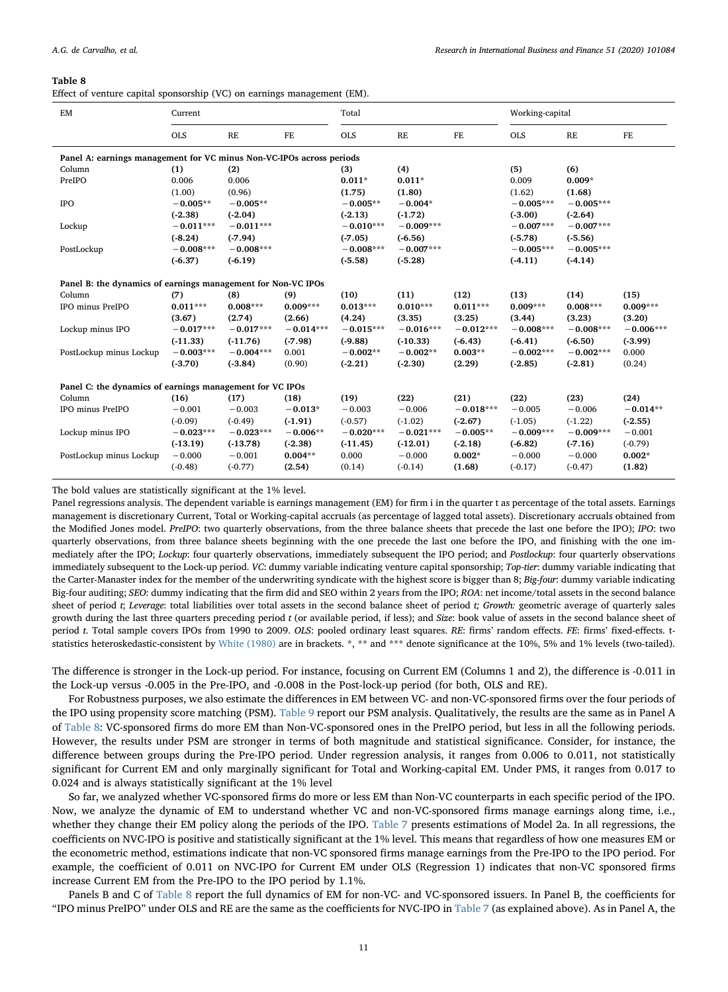<span id="page-10-0"></span>

|  |  | Effect of venture capital sponsorship (VC) on earnings management (EM). |  |
|--|--|-------------------------------------------------------------------------|--|
|  |  |                                                                         |  |

| EM                                                                   | Current     |               |             | Total       |               |             |             | Working-capital |             |
|----------------------------------------------------------------------|-------------|---------------|-------------|-------------|---------------|-------------|-------------|-----------------|-------------|
|                                                                      | <b>OLS</b>  | $\mathbf{RE}$ | $_{\rm FE}$ | <b>OLS</b>  | $\mathbf{RE}$ | FE          | <b>OLS</b>  | RE              | FE          |
| Panel A: earnings management for VC minus Non-VC-IPOs across periods |             |               |             |             |               |             |             |                 |             |
| Column                                                               | (1)         | (2)           |             | (3)         | (4)           |             | (5)         | (6)             |             |
| PreIPO                                                               | 0.006       | 0.006         |             | $0.011*$    | $0.011*$      |             | 0.009       | $0.009*$        |             |
|                                                                      | (1.00)      | (0.96)        |             | (1.75)      | (1.80)        |             | (1.62)      | (1.68)          |             |
| <b>IPO</b>                                                           | $-0.005**$  | $-0.005**$    |             | $-0.005**$  | $-0.004*$     |             | $-0.005***$ | $-0.005***$     |             |
|                                                                      | $(-2.38)$   | $(-2.04)$     |             | $(-2.13)$   | $(-1.72)$     |             | (.3.00)     | $(-2.64)$       |             |
| Lockup                                                               | $-0.011***$ | $-0.011***$   |             | $-0.010***$ | $-0.009***$   |             | $-0.007***$ | $-0.007***$     |             |
|                                                                      | $(-8.24)$   | (.7.94)       |             | $(-7.05)$   | $(-6.56)$     |             | $(-5.78)$   | $(-5.56)$       |             |
| PostLockup                                                           | $-0.008***$ | $-0.008***$   |             | $-0.008***$ | $-0.007***$   |             | $-0.005***$ | $-0.005***$     |             |
|                                                                      | $(-6.37)$   | $(-6.19)$     |             | $(-5.58)$   | $(-5.28)$     |             | $(-4.11)$   | $(-4.14)$       |             |
| Panel B: the dynamics of earnings management for Non-VC IPOs         |             |               |             |             |               |             |             |                 |             |
| Column                                                               | (7)         | (8)           | (9)         | (10)        | (11)          | (12)        | (13)        | (14)            | (15)        |
| IPO minus PreIPO                                                     | $0.011***$  | $0.008***$    | $0.009***$  | $0.013***$  | $0.010***$    | $0.011***$  | $0.009***$  | $0.008***$      | $0.009***$  |
|                                                                      | (3.67)      | (2.74)        | (2.66)      | (4.24)      | (3.35)        | (3.25)      | (3.44)      | (3.23)          | (3.20)      |
| Lockup minus IPO                                                     | $-0.017***$ | $-0.017***$   | $-0.014***$ | $-0.015***$ | $-0.016***$   | $-0.012***$ | $-0.008***$ | $-0.008***$     | $-0.006***$ |
|                                                                      | $(-11.33)$  | $(-11.76)$    | $(-7.98)$   | $(-9.88)$   | $(-10.33)$    | $(-6.43)$   | $(-6.41)$   | $(-6.50)$       | (.3.99)     |
| PostLockup minus Lockup                                              | $-0.003***$ | $-0.004***$   | 0.001       | $-0.002**$  | $-0.002**$    | $0.003**$   | $-0.002***$ | $-0.002***$     | 0.000       |
|                                                                      | $(-3.70)$   | $(-3.84)$     | (0.90)      | $(-2.21)$   | $(-2.30)$     | (2.29)      | (.2.85)     | $(-2.81)$       | (0.24)      |
| Panel C: the dynamics of earnings management for VC IPOs             |             |               |             |             |               |             |             |                 |             |
| Column                                                               | (16)        | (17)          | (18)        | (19)        | (22)          | (21)        | (22)        | (23)            | (24)        |
| IPO minus PreIPO                                                     | $-0.001$    | $-0.003$      | $-0.013*$   | $-0.003$    | $-0.006$      | $-0.018***$ | $-0.005$    | $-0.006$        | $-0.014**$  |
|                                                                      | $(-0.09)$   | $(-0.49)$     | $(-1.91)$   | $(-0.57)$   | $(-1.02)$     | (.2.67)     | $(-1.05)$   | $(-1.22)$       | $(-2.55)$   |
| Lockup minus IPO                                                     | $-0.023***$ | $-0.023***$   | $-0.006**$  | $-0.020***$ | $-0.021***$   | $-0.005**$  | $-0.009***$ | $-0.009***$     | $-0.001$    |
|                                                                      | $(-13.19)$  | $(-13.78)$    | $(-2.38)$   | $(-11.45)$  | $(-12.01)$    | $(-2.18)$   | $(-6.82)$   | $(-7.16)$       | $(-0.79)$   |
| PostLockup minus Lockup                                              | $-0.000$    | $-0.001$      | $0.004**$   | 0.000       | $-0.000$      | $0.002*$    | $-0.000$    | $-0.000$        | $0.002*$    |
|                                                                      | $(-0.48)$   | $(-0.77)$     | (2.54)      | (0.14)      | $(-0.14)$     | (1.68)      | $(-0.17)$   | $(-0.47)$       | (1.82)      |
|                                                                      |             |               |             |             |               |             |             |                 |             |

The bold values are statistically significant at the 1% level.

Panel regressions analysis. The dependent variable is earnings management (EM) for firm i in the quarter t as percentage of the total assets. Earnings management is discretionary Current, Total or Working-capital accruals (as percentage of lagged total assets). Discretionary accruals obtained from the Modified Jones model. PreIPO: two quarterly observations, from the three balance sheets that precede the last one before the IPO); IPO: two quarterly observations, from three balance sheets beginning with the one precede the last one before the IPO, and finishing with the one immediately after the IPO; Lockup: four quarterly observations, immediately subsequent the IPO period; and Postlockup: four quarterly observations immediately subsequent to the Lock-up period. VC: dummy variable indicating venture capital sponsorship; Top-tier: dummy variable indicating that the Carter-Manaster index for the member of the underwriting syndicate with the highest score is bigger than 8; Big-four: dummy variable indicating Big-four auditing; SEO: dummy indicating that the firm did and SEO within 2 years from the IPO; ROA: net income/total assets in the second balance sheet of period  $t$ ; Leverage: total liabilities over total assets in the second balance sheet of period  $t$ ; Growth: geometric average of quarterly sales growth during the last three quarters preceding period  $t$  (or available period, if less); and Size: book value of assets in the second balance sheet of period t. Total sample covers IPOs from 1990 to 2009. OLS: pooled ordinary least squares. RE: firms' random effects. FE: firms' fixed-effects. t-statistics heteroskedastic-consistent by [White \(1980\)](#page-13-25) are in brackets. \*, \*\* and \*\*\* denote significance at the 10%, 5% and 1% levels (two-tailed).

The difference is stronger in the Lock-up period. For instance, focusing on Current EM (Columns 1 and 2), the difference is -0.011 in the Lock-up versus -0.005 in the Pre-IPO, and -0.008 in the Post-lock-up period (for both, OLS and RE).

For Robustness purposes, we also estimate the differences in EM between VC- and non-VC-sponsored firms over the four periods of the IPO using propensity score matching (PSM). [Table 9](#page-11-1) report our PSM analysis. Qualitatively, the results are the same as in Panel A of [Table 8:](#page-10-0) VC-sponsored firms do more EM than Non-VC-sponsored ones in the PreIPO period, but less in all the following periods. However, the results under PSM are stronger in terms of both magnitude and statistical significance. Consider, for instance, the difference between groups during the Pre-IPO period. Under regression analysis, it ranges from 0.006 to 0.011, not statistically significant for Current EM and only marginally significant for Total and Working-capital EM. Under PMS, it ranges from 0.017 to 0.024 and is always statistically significant at the 1% level

So far, we analyzed whether VC-sponsored firms do more or less EM than Non-VC counterparts in each specific period of the IPO. Now, we analyze the dynamic of EM to understand whether VC and non-VC-sponsored firms manage earnings along time, i.e., whether they change their EM policy along the periods of the IPO. [Table 7](#page-9-0) presents estimations of Model 2a. In all regressions, the coefficients on NVC-IPO is positive and statistically significant at the 1% level. This means that regardless of how one measures EM or the econometric method, estimations indicate that non-VC sponsored firms manage earnings from the Pre-IPO to the IPO period. For example, the coefficient of 0.011 on NVC-IPO for Current EM under OLS (Regression 1) indicates that non-VC sponsored firms increase Current EM from the Pre-IPO to the IPO period by 1.1%.

Panels B and C of [Table 8](#page-10-0) report the full dynamics of EM for non-VC- and VC-sponsored issuers. In Panel B, the coefficients for "IPO minus PreIPO" under OLS and RE are the same as the coefficients for NVC-IPO in [Table 7](#page-9-0) (as explained above). As in Panel A, the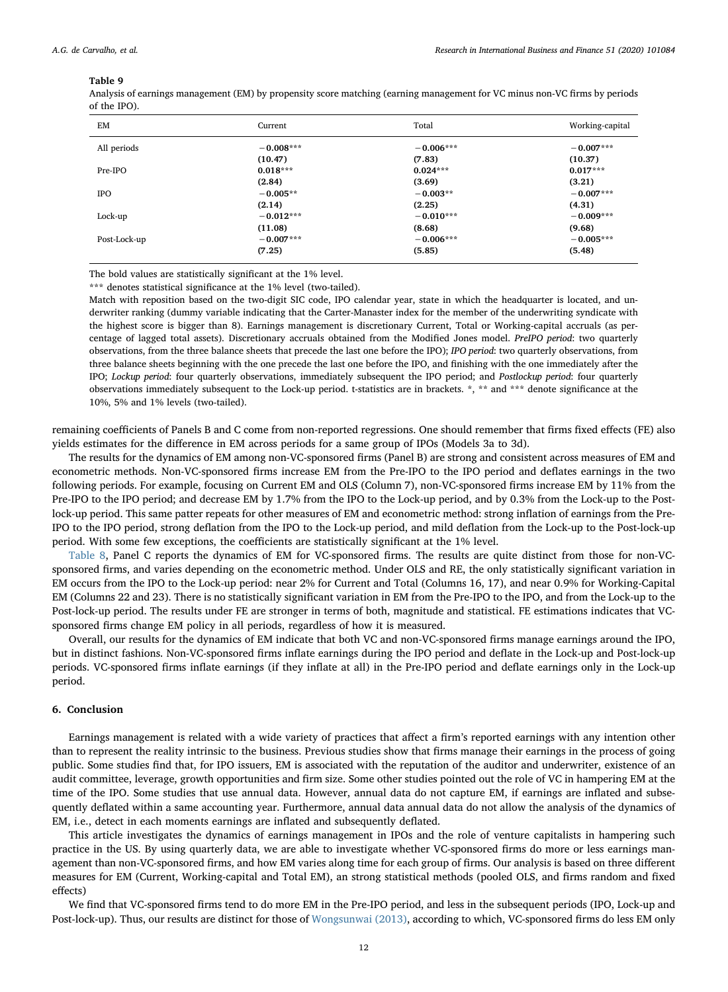<span id="page-11-1"></span>Analysis of earnings management (EM) by propensity score matching (earning management for VC minus non-VC firms by periods of the IPO).

| EM           | Current     | Total       | Working-capital |
|--------------|-------------|-------------|-----------------|
| All periods  | $-0.008***$ | $-0.006***$ | $-0.007***$     |
|              | (10.47)     | (7.83)      | (10.37)         |
| Pre-IPO      | $0.018***$  | $0.024***$  | $0.017***$      |
|              | (2.84)      | (3.69)      | (3.21)          |
| <b>IPO</b>   | $-0.005**$  | $-0.003**$  | $-0.007***$     |
|              | (2.14)      | (2.25)      | (4.31)          |
| Lock-up      | $-0.012***$ | $-0.010***$ | $-0.009***$     |
|              | (11.08)     | (8.68)      | (9.68)          |
| Post-Lock-up | $-0.007***$ | $-0.006***$ | $-0.005***$     |
|              | (7.25)      | (5.85)      | (5.48)          |

The bold values are statistically significant at the 1% level.

\*\*\* denotes statistical significance at the 1% level (two-tailed).

Match with reposition based on the two-digit SIC code, IPO calendar year, state in which the headquarter is located, and underwriter ranking (dummy variable indicating that the Carter-Manaster index for the member of the underwriting syndicate with the highest score is bigger than 8). Earnings management is discretionary Current, Total or Working-capital accruals (as percentage of lagged total assets). Discretionary accruals obtained from the Modified Jones model. PreIPO period: two quarterly observations, from the three balance sheets that precede the last one before the IPO); IPO period: two quarterly observations, from three balance sheets beginning with the one precede the last one before the IPO, and finishing with the one immediately after the IPO; Lockup period: four quarterly observations, immediately subsequent the IPO period; and Postlockup period: four quarterly observations immediately subsequent to the Lock-up period. t-statistics are in brackets. \*, \*\* and \*\*\* denote significance at the 10%, 5% and 1% levels (two-tailed).

remaining coefficients of Panels B and C come from non-reported regressions. One should remember that firms fixed effects (FE) also yields estimates for the difference in EM across periods for a same group of IPOs (Models 3a to 3d).

The results for the dynamics of EM among non-VC-sponsored firms (Panel B) are strong and consistent across measures of EM and econometric methods. Non-VC-sponsored firms increase EM from the Pre-IPO to the IPO period and deflates earnings in the two following periods. For example, focusing on Current EM and OLS (Column 7), non-VC-sponsored firms increase EM by 11% from the Pre-IPO to the IPO period; and decrease EM by 1.7% from the IPO to the Lock-up period, and by 0.3% from the Lock-up to the Postlock-up period. This same patter repeats for other measures of EM and econometric method: strong inflation of earnings from the Pre-IPO to the IPO period, strong deflation from the IPO to the Lock-up period, and mild deflation from the Lock-up to the Post-lock-up period. With some few exceptions, the coefficients are statistically significant at the 1% level.

[Table 8,](#page-10-0) Panel C reports the dynamics of EM for VC-sponsored firms. The results are quite distinct from those for non-VCsponsored firms, and varies depending on the econometric method. Under OLS and RE, the only statistically significant variation in EM occurs from the IPO to the Lock-up period: near 2% for Current and Total (Columns 16, 17), and near 0.9% for Working-Capital EM (Columns 22 and 23). There is no statistically significant variation in EM from the Pre-IPO to the IPO, and from the Lock-up to the Post-lock-up period. The results under FE are stronger in terms of both, magnitude and statistical. FE estimations indicates that VCsponsored firms change EM policy in all periods, regardless of how it is measured.

Overall, our results for the dynamics of EM indicate that both VC and non-VC-sponsored firms manage earnings around the IPO, but in distinct fashions. Non-VC-sponsored firms inflate earnings during the IPO period and deflate in the Lock-up and Post-lock-up periods. VC-sponsored firms inflate earnings (if they inflate at all) in the Pre-IPO period and deflate earnings only in the Lock-up period.

# <span id="page-11-0"></span>6. Conclusion

Earnings management is related with a wide variety of practices that affect a firm's reported earnings with any intention other than to represent the reality intrinsic to the business. Previous studies show that firms manage their earnings in the process of going public. Some studies find that, for IPO issuers, EM is associated with the reputation of the auditor and underwriter, existence of an audit committee, leverage, growth opportunities and firm size. Some other studies pointed out the role of VC in hampering EM at the time of the IPO. Some studies that use annual data. However, annual data do not capture EM, if earnings are inflated and subsequently deflated within a same accounting year. Furthermore, annual data annual data do not allow the analysis of the dynamics of EM, i.e., detect in each moments earnings are inflated and subsequently deflated.

This article investigates the dynamics of earnings management in IPOs and the role of venture capitalists in hampering such practice in the US. By using quarterly data, we are able to investigate whether VC-sponsored firms do more or less earnings management than non-VC-sponsored firms, and how EM varies along time for each group of firms. Our analysis is based on three different measures for EM (Current, Working-capital and Total EM), an strong statistical methods (pooled OLS, and firms random and fixed effects)

We find that VC-sponsored firms tend to do more EM in the Pre-IPO period, and less in the subsequent periods (IPO, Lock-up and Post-lock-up). Thus, our results are distinct for those of [Wongsunwai \(2013\)](#page-13-10), according to which, VC-sponsored firms do less EM only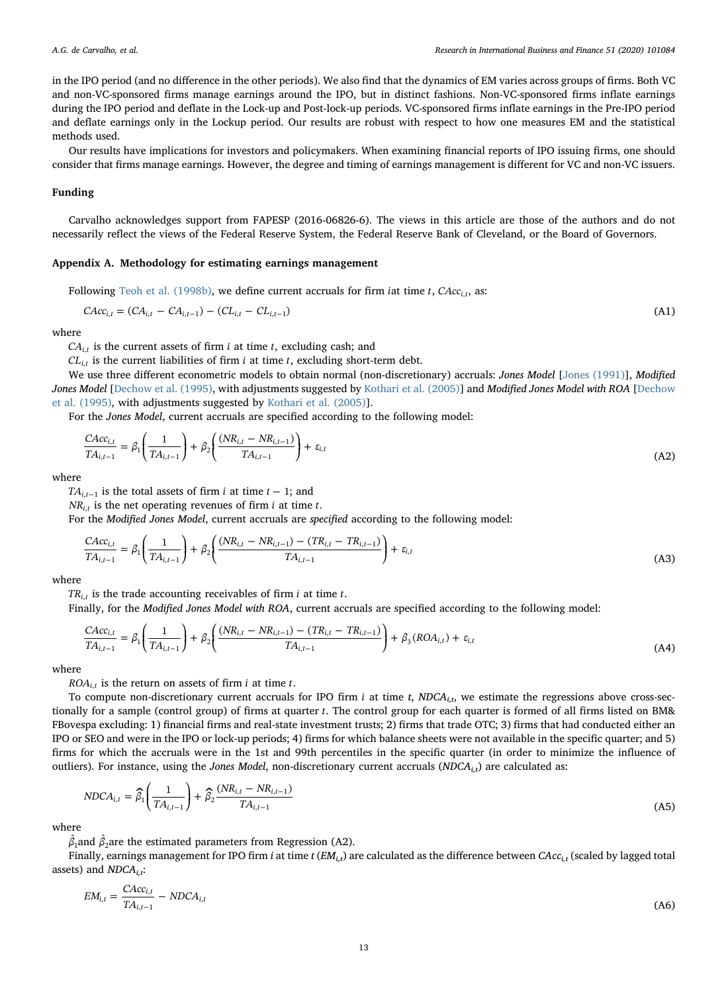in the IPO period (and no difference in the other periods). We also find that the dynamics of EM varies across groups of firms. Both VC and non-VC-sponsored firms manage earnings around the IPO, but in distinct fashions. Non-VC-sponsored firms inflate earnings during the IPO period and deflate in the Lock-up and Post-lock-up periods. VC-sponsored firms inflate earnings in the Pre-IPO period and deflate earnings only in the Lockup period. Our results are robust with respect to how one measures EM and the statistical methods used.

Our results have implications for investors and policymakers. When examining financial reports of IPO issuing firms, one should consider that firms manage earnings. However, the degree and timing of earnings management is different for VC and non-VC issuers.

# Funding

Carvalho acknowledges support from FAPESP (2016-06826-6). The views in this article are those of the authors and do not necessarily reflect the views of the Federal Reserve System, the Federal Reserve Bank of Cleveland, or the Board of Governors.

#### <span id="page-12-0"></span>Appendix A. Methodology for estimating earnings management

Following [Teoh et al. \(1998b\)](#page-13-0), we define current accruals for firm *iat time*  $t$ ,  $CAcc_{i,t}$ , as:

$$
CAC_{i,t} = (CA_{i,t} - CA_{i,t-1}) - (CL_{i,t} - CL_{i,t-1})
$$
\n(A1)

where

 $CA_{i,t}$  is the current assets of firm *i* at time *t*, excluding cash; and

 $CL_{i,t}$  is the current liabilities of firm *i* at time *t*, excluding short-term debt.

We use three different econometric models to obtain normal (non-discretionary) accruals: Jones Model [\[Jones \(1991\)](#page-13-13)], Modified Jones Model [\[Dechow et al. \(1995\),](#page-13-14) with adjustments suggested by [Kothari et al. \(2005\)](#page-13-16)] and Modified Jones Model with ROA [[Dechow](#page-13-14) [et al. \(1995\),](#page-13-14) with adjustments suggested by [Kothari et al. \(2005\)\]](#page-13-16).

For the Jones Model, current accruals are specified according to the following model:

$$
\frac{CAC_{i,t}}{TA_{i,t-1}} = \beta_1 \left(\frac{1}{TA_{i,t-1}}\right) + \beta_2 \left(\frac{(NR_{i,t} - NR_{i,t-1})}{TA_{i,t-1}}\right) + \varepsilon_{i,t}
$$
\n(A2)

where

*TA*<sub>*i*, $t-1$ </sub> is the total assets of firm *i* at time  $t-1$ ; and

 $NR_{i,t}$  is the net operating revenues of firm *i* at time *t*.

For the Modified Jones Model, current accruals are specified according to the following model:

$$
\frac{CAcc_{i,t}}{TA_{i,t-1}} = \beta_1 \left(\frac{1}{TA_{i,t-1}}\right) + \beta_2 \left(\frac{(NR_{i,t} - NR_{i,t-1}) - (TR_{i,t} - TR_{i,t-1})}{TA_{i,t-1}}\right) + \varepsilon_{i,t}
$$
\n(A3)

where

*TRi*,*<sup>t</sup>* is the trade accounting receivables of firm *i* at time *t*.

Finally, for the Modified Jones Model with ROA, current accruals are specified according to the following model:

$$
\frac{CAC_{i,t}}{TA_{i,t-1}} = \beta_1 \left(\frac{1}{TA_{i,t-1}}\right) + \beta_2 \left(\frac{(NR_{i,t} - NR_{i,t-1}) - (TR_{i,t} - TR_{i,t-1})}{TA_{i,t-1}}\right) + \beta_3 (ROA_{i,t}) + \varepsilon_{i,t}
$$
\n(A4)

where

 $ROA_{i,t}$  is the return on assets of firm *i* at time *t*.

To compute non-discretionary current accruals for IPO firm  $i$  at time  $t$ ,  $NDCA_{i,t}$ , we estimate the regressions above cross-sectionally for a sample (control group) of firms at quarter *t*. The control group for each quarter is formed of all firms listed on BM& FBovespa excluding: 1) financial firms and real-state investment trusts; 2) firms that trade OTC; 3) firms that had conducted either an IPO or SEO and were in the IPO or lock-up periods; 4) firms for which balance sheets were not available in the specific quarter; and 5) firms for which the accruals were in the 1st and 99th percentiles in the specific quarter (in order to minimize the influence of outliers). For instance, using the Jones Model, non-discretionary current accruals ( $NDCA_{i,t}$ ) are calculated as:

$$
NDCA_{i,t} = \hat{\beta}_1 \left(\frac{1}{TA_{i,t-1}}\right) + \hat{\beta}_2 \frac{(NR_{i,t} - NR_{i,t-1})}{TA_{i,t-1}}
$$
\n(A5)

where

 $\hat{\beta_1}$ and  $\hat{\beta_2}$ are the estimated parameters from Regression (A2).

Finally, earnings management for IPO firm *i* at time  $t$  ( $EM_{i,t}$ ) are calculated as the difference between  $CAcc_{i,t}$  (scaled by lagged total assets) and  $NDCA_i$ ;

$$
EM_{i,t} = \frac{CAcc_{i,t}}{TA_{i,t-1}} - NDCA_{i,t}
$$
\n(A6)